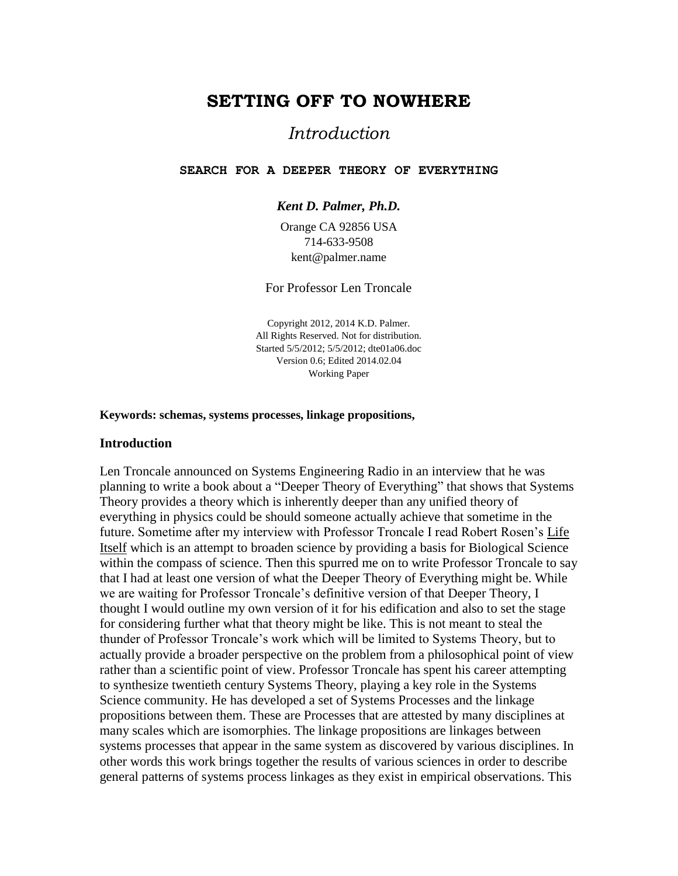# **SETTING OFF TO NOWHERE**

# *Introduction*

### **SEARCH FOR A DEEPER THEORY OF EVERYTHING**

*Kent D. Palmer, Ph.D.*

Orange CA 92856 USA 714-633-9508 kent@palmer.name

For Professor Len Troncale

Copyright 2012, 2014 K.D. Palmer. All Rights Reserved. Not for distribution. Started 5/5/2012; 5/5/2012; dte01a06.doc Version 0.6; Edited 2014.02.04 Working Paper

#### **Keywords: schemas, systems processes, linkage propositions,**

### **Introduction**

Len Troncale announced on Systems Engineering Radio in an interview that he was planning to write a book about a "Deeper Theory of Everything" that shows that Systems Theory provides a theory which is inherently deeper than any unified theory of everything in physics could be should someone actually achieve that sometime in the future. Sometime after my interview with Professor Troncale I read Robert Rosen's Life Itself which is an attempt to broaden science by providing a basis for Biological Science within the compass of science. Then this spurred me on to write Professor Troncale to say that I had at least one version of what the Deeper Theory of Everything might be. While we are waiting for Professor Troncale's definitive version of that Deeper Theory, I thought I would outline my own version of it for his edification and also to set the stage for considering further what that theory might be like. This is not meant to steal the thunder of Professor Troncale's work which will be limited to Systems Theory, but to actually provide a broader perspective on the problem from a philosophical point of view rather than a scientific point of view. Professor Troncale has spent his career attempting to synthesize twentieth century Systems Theory, playing a key role in the Systems Science community. He has developed a set of Systems Processes and the linkage propositions between them. These are Processes that are attested by many disciplines at many scales which are isomorphies. The linkage propositions are linkages between systems processes that appear in the same system as discovered by various disciplines. In other words this work brings together the results of various sciences in order to describe general patterns of systems process linkages as they exist in empirical observations. This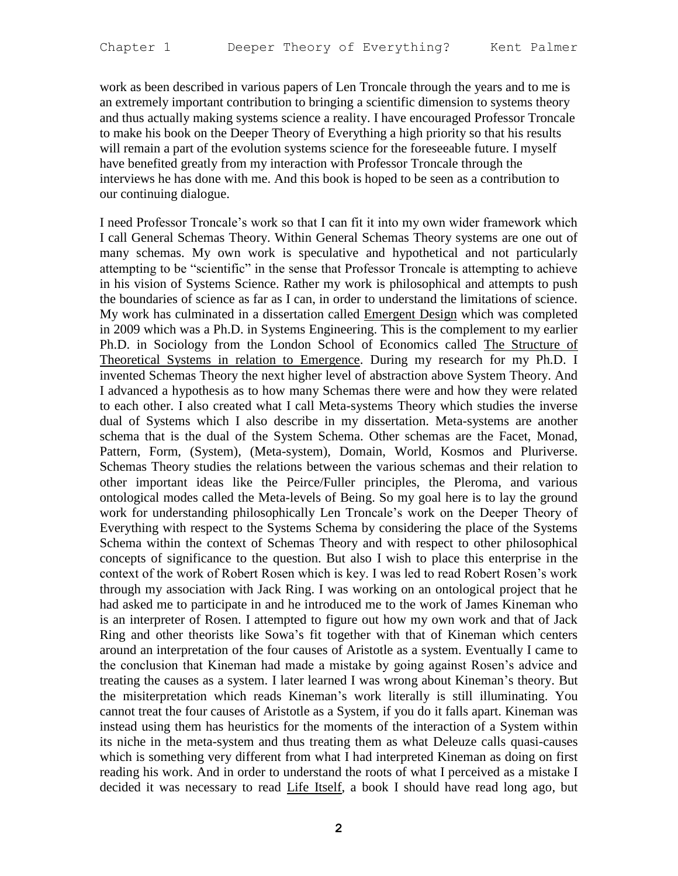work as been described in various papers of Len Troncale through the years and to me is an extremely important contribution to bringing a scientific dimension to systems theory and thus actually making systems science a reality. I have encouraged Professor Troncale to make his book on the Deeper Theory of Everything a high priority so that his results will remain a part of the evolution systems science for the foreseeable future. I myself have benefited greatly from my interaction with Professor Troncale through the interviews he has done with me. And this book is hoped to be seen as a contribution to our continuing dialogue.

I need Professor Troncale's work so that I can fit it into my own wider framework which I call General Schemas Theory. Within General Schemas Theory systems are one out of many schemas. My own work is speculative and hypothetical and not particularly attempting to be "scientific" in the sense that Professor Troncale is attempting to achieve in his vision of Systems Science. Rather my work is philosophical and attempts to push the boundaries of science as far as I can, in order to understand the limitations of science. My work has culminated in a dissertation called **Emergent Design** which was completed in 2009 which was a Ph.D. in Systems Engineering. This is the complement to my earlier Ph.D. in Sociology from the London School of Economics called The Structure of Theoretical Systems in relation to Emergence. During my research for my Ph.D. I invented Schemas Theory the next higher level of abstraction above System Theory. And I advanced a hypothesis as to how many Schemas there were and how they were related to each other. I also created what I call Meta-systems Theory which studies the inverse dual of Systems which I also describe in my dissertation. Meta-systems are another schema that is the dual of the System Schema. Other schemas are the Facet, Monad, Pattern, Form, (System), (Meta-system), Domain, World, Kosmos and Pluriverse. Schemas Theory studies the relations between the various schemas and their relation to other important ideas like the Peirce/Fuller principles, the Pleroma, and various ontological modes called the Meta-levels of Being. So my goal here is to lay the ground work for understanding philosophically Len Troncale's work on the Deeper Theory of Everything with respect to the Systems Schema by considering the place of the Systems Schema within the context of Schemas Theory and with respect to other philosophical concepts of significance to the question. But also I wish to place this enterprise in the context of the work of Robert Rosen which is key. I was led to read Robert Rosen's work through my association with Jack Ring. I was working on an ontological project that he had asked me to participate in and he introduced me to the work of James Kineman who is an interpreter of Rosen. I attempted to figure out how my own work and that of Jack Ring and other theorists like Sowa's fit together with that of Kineman which centers around an interpretation of the four causes of Aristotle as a system. Eventually I came to the conclusion that Kineman had made a mistake by going against Rosen's advice and treating the causes as a system. I later learned I was wrong about Kineman's theory. But the misiterpretation which reads Kineman's work literally is still illuminating. You cannot treat the four causes of Aristotle as a System, if you do it falls apart. Kineman was instead using them has heuristics for the moments of the interaction of a System within its niche in the meta-system and thus treating them as what Deleuze calls quasi-causes which is something very different from what I had interpreted Kineman as doing on first reading his work. And in order to understand the roots of what I perceived as a mistake I decided it was necessary to read Life Itself, a book I should have read long ago, but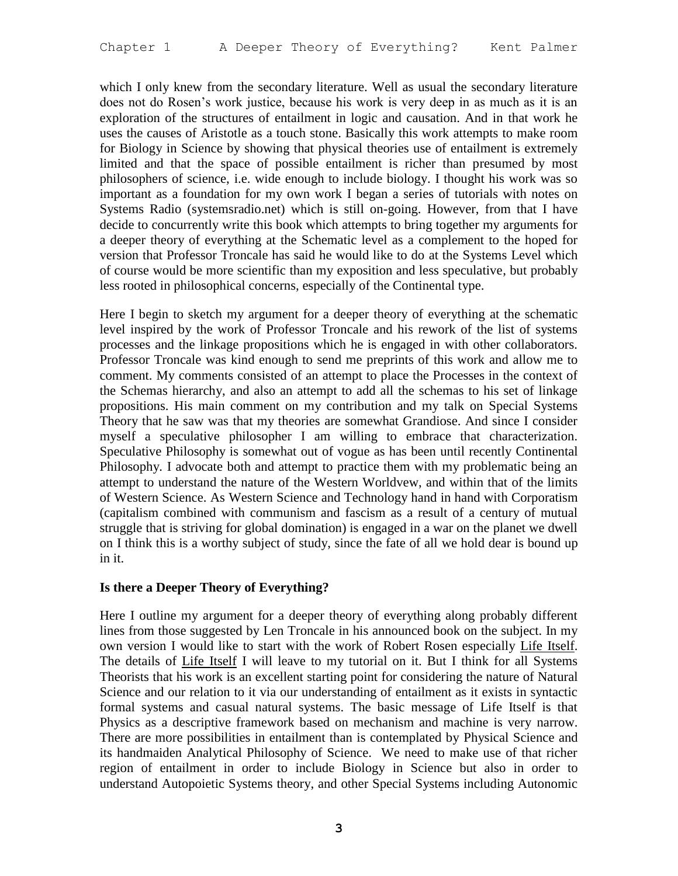which I only knew from the secondary literature. Well as usual the secondary literature does not do Rosen's work justice, because his work is very deep in as much as it is an exploration of the structures of entailment in logic and causation. And in that work he uses the causes of Aristotle as a touch stone. Basically this work attempts to make room for Biology in Science by showing that physical theories use of entailment is extremely limited and that the space of possible entailment is richer than presumed by most philosophers of science, i.e. wide enough to include biology. I thought his work was so important as a foundation for my own work I began a series of tutorials with notes on Systems Radio (systemsradio.net) which is still on-going. However, from that I have decide to concurrently write this book which attempts to bring together my arguments for a deeper theory of everything at the Schematic level as a complement to the hoped for version that Professor Troncale has said he would like to do at the Systems Level which of course would be more scientific than my exposition and less speculative, but probably less rooted in philosophical concerns, especially of the Continental type.

Here I begin to sketch my argument for a deeper theory of everything at the schematic level inspired by the work of Professor Troncale and his rework of the list of systems processes and the linkage propositions which he is engaged in with other collaborators. Professor Troncale was kind enough to send me preprints of this work and allow me to comment. My comments consisted of an attempt to place the Processes in the context of the Schemas hierarchy, and also an attempt to add all the schemas to his set of linkage propositions. His main comment on my contribution and my talk on Special Systems Theory that he saw was that my theories are somewhat Grandiose. And since I consider myself a speculative philosopher I am willing to embrace that characterization. Speculative Philosophy is somewhat out of vogue as has been until recently Continental Philosophy. I advocate both and attempt to practice them with my problematic being an attempt to understand the nature of the Western Worldvew, and within that of the limits of Western Science. As Western Science and Technology hand in hand with Corporatism (capitalism combined with communism and fascism as a result of a century of mutual struggle that is striving for global domination) is engaged in a war on the planet we dwell on I think this is a worthy subject of study, since the fate of all we hold dear is bound up in it.

## **Is there a Deeper Theory of Everything?**

Here I outline my argument for a deeper theory of everything along probably different lines from those suggested by Len Troncale in his announced book on the subject. In my own version I would like to start with the work of Robert Rosen especially Life Itself. The details of Life Itself I will leave to my tutorial on it. But I think for all Systems Theorists that his work is an excellent starting point for considering the nature of Natural Science and our relation to it via our understanding of entailment as it exists in syntactic formal systems and casual natural systems. The basic message of Life Itself is that Physics as a descriptive framework based on mechanism and machine is very narrow. There are more possibilities in entailment than is contemplated by Physical Science and its handmaiden Analytical Philosophy of Science. We need to make use of that richer region of entailment in order to include Biology in Science but also in order to understand Autopoietic Systems theory, and other Special Systems including Autonomic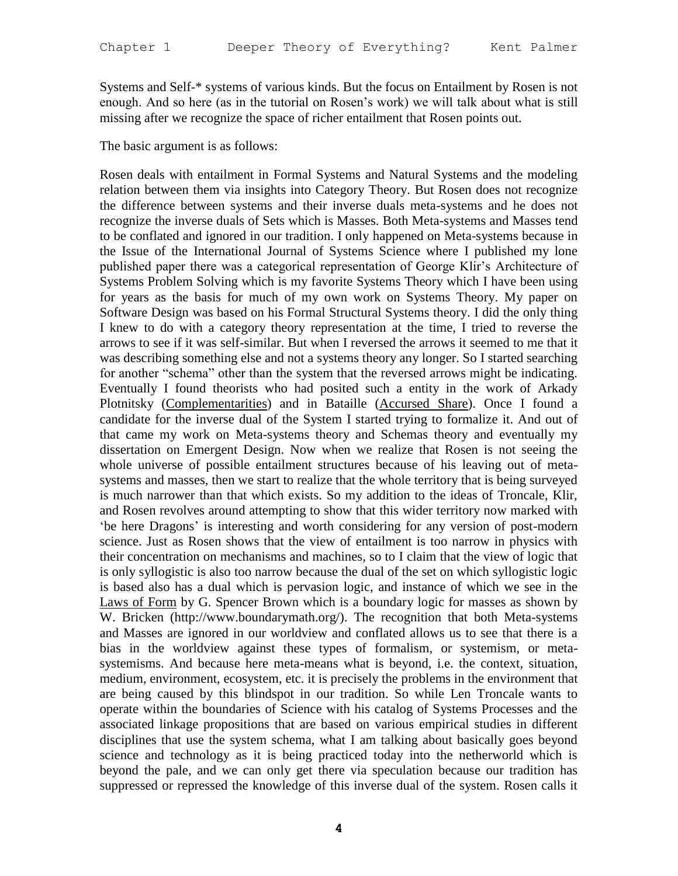Systems and Self-\* systems of various kinds. But the focus on Entailment by Rosen is not enough. And so here (as in the tutorial on Rosen's work) we will talk about what is still missing after we recognize the space of richer entailment that Rosen points out.

The basic argument is as follows:

Rosen deals with entailment in Formal Systems and Natural Systems and the modeling relation between them via insights into Category Theory. But Rosen does not recognize the difference between systems and their inverse duals meta-systems and he does not recognize the inverse duals of Sets which is Masses. Both Meta-systems and Masses tend to be conflated and ignored in our tradition. I only happened on Meta-systems because in the Issue of the International Journal of Systems Science where I published my lone published paper there was a categorical representation of George Klir's Architecture of Systems Problem Solving which is my favorite Systems Theory which I have been using for years as the basis for much of my own work on Systems Theory. My paper on Software Design was based on his Formal Structural Systems theory. I did the only thing I knew to do with a category theory representation at the time, I tried to reverse the arrows to see if it was self-similar. But when I reversed the arrows it seemed to me that it was describing something else and not a systems theory any longer. So I started searching for another "schema" other than the system that the reversed arrows might be indicating. Eventually I found theorists who had posited such a entity in the work of Arkady Plotnitsky (Complementarities) and in Bataille (Accursed Share). Once I found a candidate for the inverse dual of the System I started trying to formalize it. And out of that came my work on Meta-systems theory and Schemas theory and eventually my dissertation on Emergent Design. Now when we realize that Rosen is not seeing the whole universe of possible entailment structures because of his leaving out of metasystems and masses, then we start to realize that the whole territory that is being surveyed is much narrower than that which exists. So my addition to the ideas of Troncale, Klir, and Rosen revolves around attempting to show that this wider territory now marked with 'be here Dragons' is interesting and worth considering for any version of post-modern science. Just as Rosen shows that the view of entailment is too narrow in physics with their concentration on mechanisms and machines, so to I claim that the view of logic that is only syllogistic is also too narrow because the dual of the set on which syllogistic logic is based also has a dual which is pervasion logic, and instance of which we see in the Laws of Form by G. Spencer Brown which is a boundary logic for masses as shown by W. Bricken (http://www.boundarymath.org/). The recognition that both Meta-systems and Masses are ignored in our worldview and conflated allows us to see that there is a bias in the worldview against these types of formalism, or systemism, or metasystemisms. And because here meta-means what is beyond, i.e. the context, situation, medium, environment, ecosystem, etc. it is precisely the problems in the environment that are being caused by this blindspot in our tradition. So while Len Troncale wants to operate within the boundaries of Science with his catalog of Systems Processes and the associated linkage propositions that are based on various empirical studies in different disciplines that use the system schema, what I am talking about basically goes beyond science and technology as it is being practiced today into the netherworld which is beyond the pale, and we can only get there via speculation because our tradition has suppressed or repressed the knowledge of this inverse dual of the system. Rosen calls it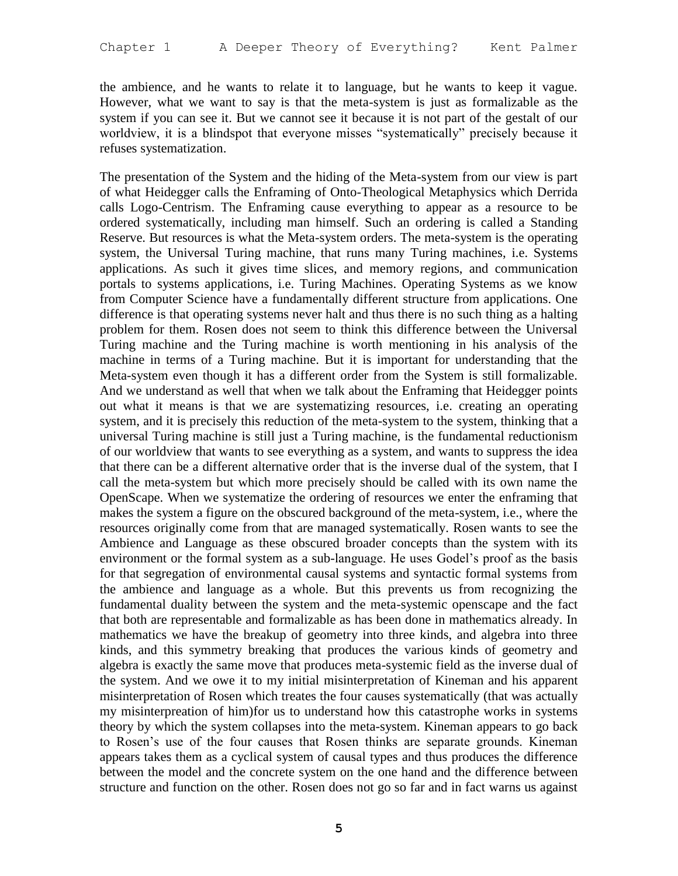the ambience, and he wants to relate it to language, but he wants to keep it vague. However, what we want to say is that the meta-system is just as formalizable as the system if you can see it. But we cannot see it because it is not part of the gestalt of our worldview, it is a blindspot that everyone misses "systematically" precisely because it refuses systematization.

The presentation of the System and the hiding of the Meta-system from our view is part of what Heidegger calls the Enframing of Onto-Theological Metaphysics which Derrida calls Logo-Centrism. The Enframing cause everything to appear as a resource to be ordered systematically, including man himself. Such an ordering is called a Standing Reserve. But resources is what the Meta-system orders. The meta-system is the operating system, the Universal Turing machine, that runs many Turing machines, i.e. Systems applications. As such it gives time slices, and memory regions, and communication portals to systems applications, i.e. Turing Machines. Operating Systems as we know from Computer Science have a fundamentally different structure from applications. One difference is that operating systems never halt and thus there is no such thing as a halting problem for them. Rosen does not seem to think this difference between the Universal Turing machine and the Turing machine is worth mentioning in his analysis of the machine in terms of a Turing machine. But it is important for understanding that the Meta-system even though it has a different order from the System is still formalizable. And we understand as well that when we talk about the Enframing that Heidegger points out what it means is that we are systematizing resources, i.e. creating an operating system, and it is precisely this reduction of the meta-system to the system, thinking that a universal Turing machine is still just a Turing machine, is the fundamental reductionism of our worldview that wants to see everything as a system, and wants to suppress the idea that there can be a different alternative order that is the inverse dual of the system, that I call the meta-system but which more precisely should be called with its own name the OpenScape. When we systematize the ordering of resources we enter the enframing that makes the system a figure on the obscured background of the meta-system, i.e., where the resources originally come from that are managed systematically. Rosen wants to see the Ambience and Language as these obscured broader concepts than the system with its environment or the formal system as a sub-language. He uses Godel's proof as the basis for that segregation of environmental causal systems and syntactic formal systems from the ambience and language as a whole. But this prevents us from recognizing the fundamental duality between the system and the meta-systemic openscape and the fact that both are representable and formalizable as has been done in mathematics already. In mathematics we have the breakup of geometry into three kinds, and algebra into three kinds, and this symmetry breaking that produces the various kinds of geometry and algebra is exactly the same move that produces meta-systemic field as the inverse dual of the system. And we owe it to my initial misinterpretation of Kineman and his apparent misinterpretation of Rosen which treates the four causes systematically (that was actually my misinterpreation of him)for us to understand how this catastrophe works in systems theory by which the system collapses into the meta-system. Kineman appears to go back to Rosen's use of the four causes that Rosen thinks are separate grounds. Kineman appears takes them as a cyclical system of causal types and thus produces the difference between the model and the concrete system on the one hand and the difference between structure and function on the other. Rosen does not go so far and in fact warns us against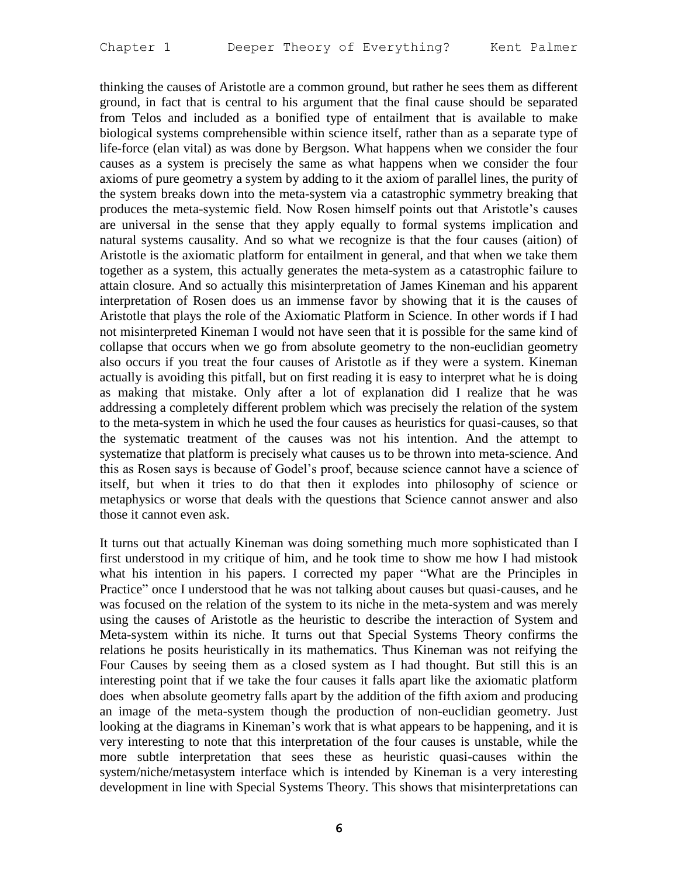thinking the causes of Aristotle are a common ground, but rather he sees them as different ground, in fact that is central to his argument that the final cause should be separated from Telos and included as a bonified type of entailment that is available to make biological systems comprehensible within science itself, rather than as a separate type of life-force (elan vital) as was done by Bergson. What happens when we consider the four causes as a system is precisely the same as what happens when we consider the four axioms of pure geometry a system by adding to it the axiom of parallel lines, the purity of the system breaks down into the meta-system via a catastrophic symmetry breaking that produces the meta-systemic field. Now Rosen himself points out that Aristotle's causes are universal in the sense that they apply equally to formal systems implication and natural systems causality. And so what we recognize is that the four causes (aition) of Aristotle is the axiomatic platform for entailment in general, and that when we take them together as a system, this actually generates the meta-system as a catastrophic failure to attain closure. And so actually this misinterpretation of James Kineman and his apparent interpretation of Rosen does us an immense favor by showing that it is the causes of Aristotle that plays the role of the Axiomatic Platform in Science. In other words if I had not misinterpreted Kineman I would not have seen that it is possible for the same kind of collapse that occurs when we go from absolute geometry to the non-euclidian geometry also occurs if you treat the four causes of Aristotle as if they were a system. Kineman actually is avoiding this pitfall, but on first reading it is easy to interpret what he is doing as making that mistake. Only after a lot of explanation did I realize that he was addressing a completely different problem which was precisely the relation of the system to the meta-system in which he used the four causes as heuristics for quasi-causes, so that the systematic treatment of the causes was not his intention. And the attempt to systematize that platform is precisely what causes us to be thrown into meta-science. And this as Rosen says is because of Godel's proof, because science cannot have a science of itself, but when it tries to do that then it explodes into philosophy of science or metaphysics or worse that deals with the questions that Science cannot answer and also those it cannot even ask.

It turns out that actually Kineman was doing something much more sophisticated than I first understood in my critique of him, and he took time to show me how I had mistook what his intention in his papers. I corrected my paper "What are the Principles in Practice" once I understood that he was not talking about causes but quasi-causes, and he was focused on the relation of the system to its niche in the meta-system and was merely using the causes of Aristotle as the heuristic to describe the interaction of System and Meta-system within its niche. It turns out that Special Systems Theory confirms the relations he posits heuristically in its mathematics. Thus Kineman was not reifying the Four Causes by seeing them as a closed system as I had thought. But still this is an interesting point that if we take the four causes it falls apart like the axiomatic platform does when absolute geometry falls apart by the addition of the fifth axiom and producing an image of the meta-system though the production of non-euclidian geometry. Just looking at the diagrams in Kineman's work that is what appears to be happening, and it is very interesting to note that this interpretation of the four causes is unstable, while the more subtle interpretation that sees these as heuristic quasi-causes within the system/niche/metasystem interface which is intended by Kineman is a very interesting development in line with Special Systems Theory. This shows that misinterpretations can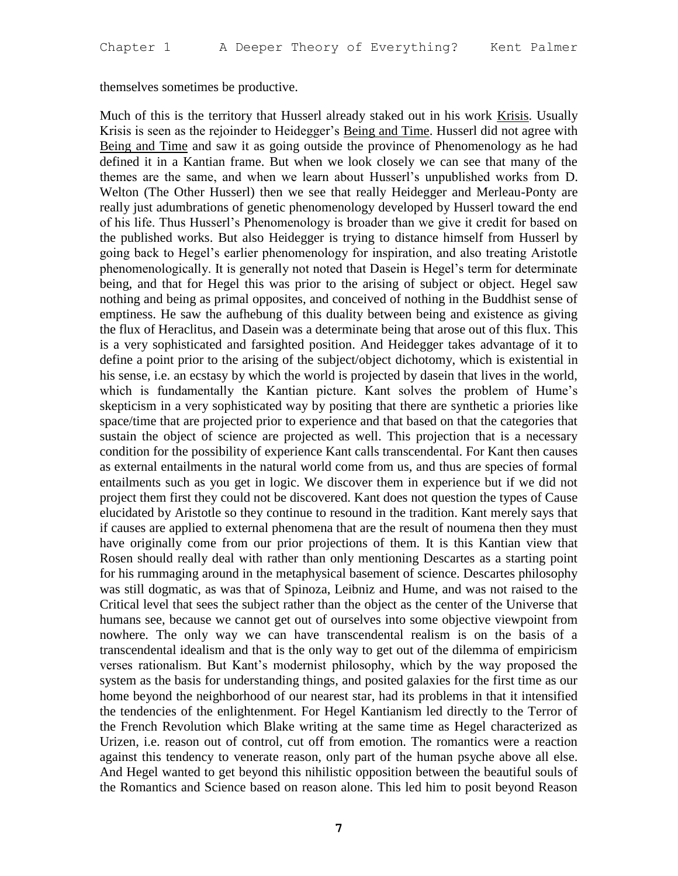themselves sometimes be productive.

Much of this is the territory that Husserl already staked out in his work Krisis. Usually Krisis is seen as the rejoinder to Heidegger's Being and Time. Husserl did not agree with Being and Time and saw it as going outside the province of Phenomenology as he had defined it in a Kantian frame. But when we look closely we can see that many of the themes are the same, and when we learn about Husserl's unpublished works from D. Welton (The Other Husserl) then we see that really Heidegger and Merleau-Ponty are really just adumbrations of genetic phenomenology developed by Husserl toward the end of his life. Thus Husserl's Phenomenology is broader than we give it credit for based on the published works. But also Heidegger is trying to distance himself from Husserl by going back to Hegel's earlier phenomenology for inspiration, and also treating Aristotle phenomenologically. It is generally not noted that Dasein is Hegel's term for determinate being, and that for Hegel this was prior to the arising of subject or object. Hegel saw nothing and being as primal opposites, and conceived of nothing in the Buddhist sense of emptiness. He saw the aufhebung of this duality between being and existence as giving the flux of Heraclitus, and Dasein was a determinate being that arose out of this flux. This is a very sophisticated and farsighted position. And Heidegger takes advantage of it to define a point prior to the arising of the subject/object dichotomy, which is existential in his sense, i.e. an ecstasy by which the world is projected by dasein that lives in the world, which is fundamentally the Kantian picture. Kant solves the problem of Hume's skepticism in a very sophisticated way by positing that there are synthetic a priories like space/time that are projected prior to experience and that based on that the categories that sustain the object of science are projected as well. This projection that is a necessary condition for the possibility of experience Kant calls transcendental. For Kant then causes as external entailments in the natural world come from us, and thus are species of formal entailments such as you get in logic. We discover them in experience but if we did not project them first they could not be discovered. Kant does not question the types of Cause elucidated by Aristotle so they continue to resound in the tradition. Kant merely says that if causes are applied to external phenomena that are the result of noumena then they must have originally come from our prior projections of them. It is this Kantian view that Rosen should really deal with rather than only mentioning Descartes as a starting point for his rummaging around in the metaphysical basement of science. Descartes philosophy was still dogmatic, as was that of Spinoza, Leibniz and Hume, and was not raised to the Critical level that sees the subject rather than the object as the center of the Universe that humans see, because we cannot get out of ourselves into some objective viewpoint from nowhere. The only way we can have transcendental realism is on the basis of a transcendental idealism and that is the only way to get out of the dilemma of empiricism verses rationalism. But Kant's modernist philosophy, which by the way proposed the system as the basis for understanding things, and posited galaxies for the first time as our home beyond the neighborhood of our nearest star, had its problems in that it intensified the tendencies of the enlightenment. For Hegel Kantianism led directly to the Terror of the French Revolution which Blake writing at the same time as Hegel characterized as Urizen, i.e. reason out of control, cut off from emotion. The romantics were a reaction against this tendency to venerate reason, only part of the human psyche above all else. And Hegel wanted to get beyond this nihilistic opposition between the beautiful souls of the Romantics and Science based on reason alone. This led him to posit beyond Reason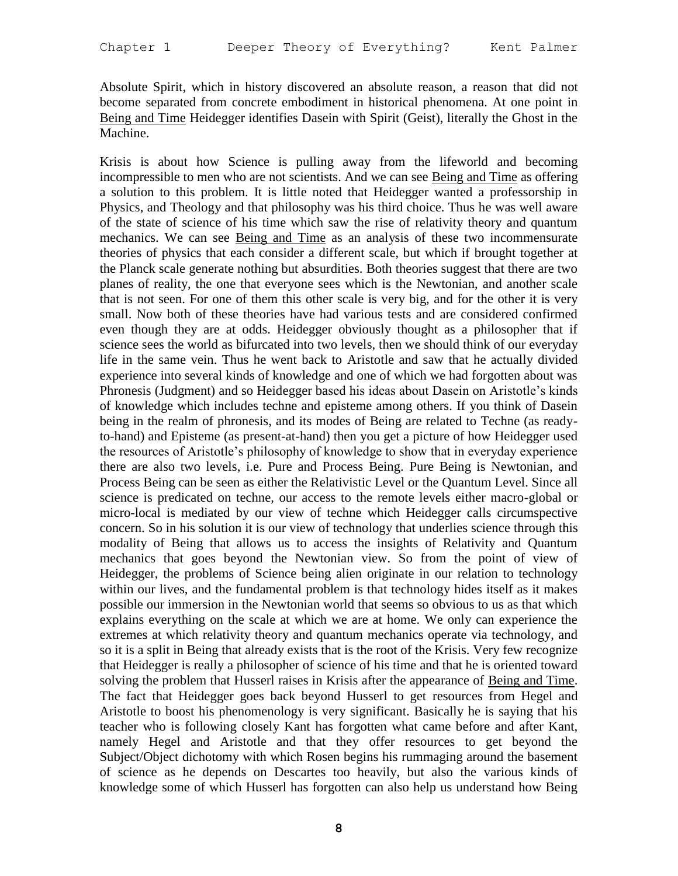Absolute Spirit, which in history discovered an absolute reason, a reason that did not become separated from concrete embodiment in historical phenomena. At one point in Being and Time Heidegger identifies Dasein with Spirit (Geist), literally the Ghost in the Machine.

Krisis is about how Science is pulling away from the lifeworld and becoming incompressible to men who are not scientists. And we can see Being and Time as offering a solution to this problem. It is little noted that Heidegger wanted a professorship in Physics, and Theology and that philosophy was his third choice. Thus he was well aware of the state of science of his time which saw the rise of relativity theory and quantum mechanics. We can see Being and Time as an analysis of these two incommensurate theories of physics that each consider a different scale, but which if brought together at the Planck scale generate nothing but absurdities. Both theories suggest that there are two planes of reality, the one that everyone sees which is the Newtonian, and another scale that is not seen. For one of them this other scale is very big, and for the other it is very small. Now both of these theories have had various tests and are considered confirmed even though they are at odds. Heidegger obviously thought as a philosopher that if science sees the world as bifurcated into two levels, then we should think of our everyday life in the same vein. Thus he went back to Aristotle and saw that he actually divided experience into several kinds of knowledge and one of which we had forgotten about was Phronesis (Judgment) and so Heidegger based his ideas about Dasein on Aristotle's kinds of knowledge which includes techne and episteme among others. If you think of Dasein being in the realm of phronesis, and its modes of Being are related to Techne (as readyto-hand) and Episteme (as present-at-hand) then you get a picture of how Heidegger used the resources of Aristotle's philosophy of knowledge to show that in everyday experience there are also two levels, i.e. Pure and Process Being. Pure Being is Newtonian, and Process Being can be seen as either the Relativistic Level or the Quantum Level. Since all science is predicated on techne, our access to the remote levels either macro-global or micro-local is mediated by our view of techne which Heidegger calls circumspective concern. So in his solution it is our view of technology that underlies science through this modality of Being that allows us to access the insights of Relativity and Quantum mechanics that goes beyond the Newtonian view. So from the point of view of Heidegger, the problems of Science being alien originate in our relation to technology within our lives, and the fundamental problem is that technology hides itself as it makes possible our immersion in the Newtonian world that seems so obvious to us as that which explains everything on the scale at which we are at home. We only can experience the extremes at which relativity theory and quantum mechanics operate via technology, and so it is a split in Being that already exists that is the root of the Krisis. Very few recognize that Heidegger is really a philosopher of science of his time and that he is oriented toward solving the problem that Husserl raises in Krisis after the appearance of Being and Time. The fact that Heidegger goes back beyond Husserl to get resources from Hegel and Aristotle to boost his phenomenology is very significant. Basically he is saying that his teacher who is following closely Kant has forgotten what came before and after Kant, namely Hegel and Aristotle and that they offer resources to get beyond the Subject/Object dichotomy with which Rosen begins his rummaging around the basement of science as he depends on Descartes too heavily, but also the various kinds of knowledge some of which Husserl has forgotten can also help us understand how Being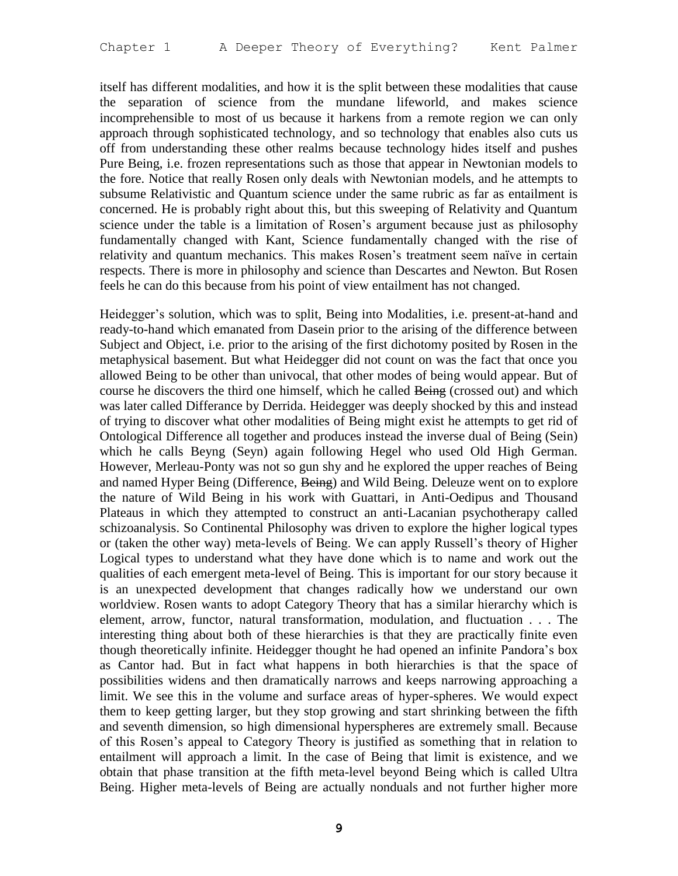itself has different modalities, and how it is the split between these modalities that cause the separation of science from the mundane lifeworld, and makes science incomprehensible to most of us because it harkens from a remote region we can only approach through sophisticated technology, and so technology that enables also cuts us off from understanding these other realms because technology hides itself and pushes Pure Being, i.e. frozen representations such as those that appear in Newtonian models to the fore. Notice that really Rosen only deals with Newtonian models, and he attempts to subsume Relativistic and Quantum science under the same rubric as far as entailment is concerned. He is probably right about this, but this sweeping of Relativity and Quantum science under the table is a limitation of Rosen's argument because just as philosophy fundamentally changed with Kant, Science fundamentally changed with the rise of relativity and quantum mechanics. This makes Rosen's treatment seem naïve in certain respects. There is more in philosophy and science than Descartes and Newton. But Rosen feels he can do this because from his point of view entailment has not changed.

Heidegger's solution, which was to split, Being into Modalities, i.e. present-at-hand and ready-to-hand which emanated from Dasein prior to the arising of the difference between Subject and Object, i.e. prior to the arising of the first dichotomy posited by Rosen in the metaphysical basement. But what Heidegger did not count on was the fact that once you allowed Being to be other than univocal, that other modes of being would appear. But of course he discovers the third one himself, which he called Being (crossed out) and which was later called Differance by Derrida. Heidegger was deeply shocked by this and instead of trying to discover what other modalities of Being might exist he attempts to get rid of Ontological Difference all together and produces instead the inverse dual of Being (Sein) which he calls Beyng (Seyn) again following Hegel who used Old High German. However, Merleau-Ponty was not so gun shy and he explored the upper reaches of Being and named Hyper Being (Difference, Being) and Wild Being. Deleuze went on to explore the nature of Wild Being in his work with Guattari, in Anti-Oedipus and Thousand Plateaus in which they attempted to construct an anti-Lacanian psychotherapy called schizoanalysis. So Continental Philosophy was driven to explore the higher logical types or (taken the other way) meta-levels of Being. We can apply Russell's theory of Higher Logical types to understand what they have done which is to name and work out the qualities of each emergent meta-level of Being. This is important for our story because it is an unexpected development that changes radically how we understand our own worldview. Rosen wants to adopt Category Theory that has a similar hierarchy which is element, arrow, functor, natural transformation, modulation, and fluctuation . . . The interesting thing about both of these hierarchies is that they are practically finite even though theoretically infinite. Heidegger thought he had opened an infinite Pandora's box as Cantor had. But in fact what happens in both hierarchies is that the space of possibilities widens and then dramatically narrows and keeps narrowing approaching a limit. We see this in the volume and surface areas of hyper-spheres. We would expect them to keep getting larger, but they stop growing and start shrinking between the fifth and seventh dimension, so high dimensional hyperspheres are extremely small. Because of this Rosen's appeal to Category Theory is justified as something that in relation to entailment will approach a limit. In the case of Being that limit is existence, and we obtain that phase transition at the fifth meta-level beyond Being which is called Ultra Being. Higher meta-levels of Being are actually nonduals and not further higher more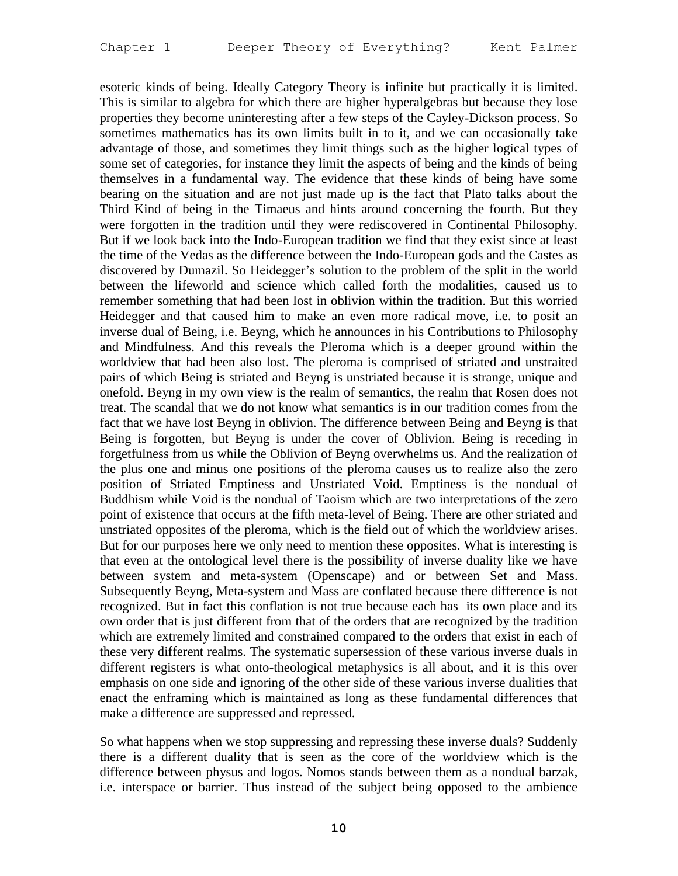esoteric kinds of being. Ideally Category Theory is infinite but practically it is limited. This is similar to algebra for which there are higher hyperalgebras but because they lose properties they become uninteresting after a few steps of the Cayley-Dickson process. So sometimes mathematics has its own limits built in to it, and we can occasionally take advantage of those, and sometimes they limit things such as the higher logical types of some set of categories, for instance they limit the aspects of being and the kinds of being themselves in a fundamental way. The evidence that these kinds of being have some bearing on the situation and are not just made up is the fact that Plato talks about the Third Kind of being in the Timaeus and hints around concerning the fourth. But they were forgotten in the tradition until they were rediscovered in Continental Philosophy. But if we look back into the Indo-European tradition we find that they exist since at least the time of the Vedas as the difference between the Indo-European gods and the Castes as discovered by Dumazil. So Heidegger's solution to the problem of the split in the world between the lifeworld and science which called forth the modalities, caused us to remember something that had been lost in oblivion within the tradition. But this worried Heidegger and that caused him to make an even more radical move, i.e. to posit an inverse dual of Being, i.e. Beyng, which he announces in his Contributions to Philosophy and Mindfulness. And this reveals the Pleroma which is a deeper ground within the worldview that had been also lost. The pleroma is comprised of striated and unstraited pairs of which Being is striated and Beyng is unstriated because it is strange, unique and onefold. Beyng in my own view is the realm of semantics, the realm that Rosen does not treat. The scandal that we do not know what semantics is in our tradition comes from the fact that we have lost Beyng in oblivion. The difference between Being and Beyng is that Being is forgotten, but Beyng is under the cover of Oblivion. Being is receding in forgetfulness from us while the Oblivion of Beyng overwhelms us. And the realization of the plus one and minus one positions of the pleroma causes us to realize also the zero position of Striated Emptiness and Unstriated Void. Emptiness is the nondual of Buddhism while Void is the nondual of Taoism which are two interpretations of the zero point of existence that occurs at the fifth meta-level of Being. There are other striated and unstriated opposites of the pleroma, which is the field out of which the worldview arises. But for our purposes here we only need to mention these opposites. What is interesting is that even at the ontological level there is the possibility of inverse duality like we have between system and meta-system (Openscape) and or between Set and Mass. Subsequently Beyng, Meta-system and Mass are conflated because there difference is not recognized. But in fact this conflation is not true because each has its own place and its own order that is just different from that of the orders that are recognized by the tradition which are extremely limited and constrained compared to the orders that exist in each of these very different realms. The systematic supersession of these various inverse duals in different registers is what onto-theological metaphysics is all about, and it is this over emphasis on one side and ignoring of the other side of these various inverse dualities that enact the enframing which is maintained as long as these fundamental differences that make a difference are suppressed and repressed.

So what happens when we stop suppressing and repressing these inverse duals? Suddenly there is a different duality that is seen as the core of the worldview which is the difference between physus and logos. Nomos stands between them as a nondual barzak, i.e. interspace or barrier. Thus instead of the subject being opposed to the ambience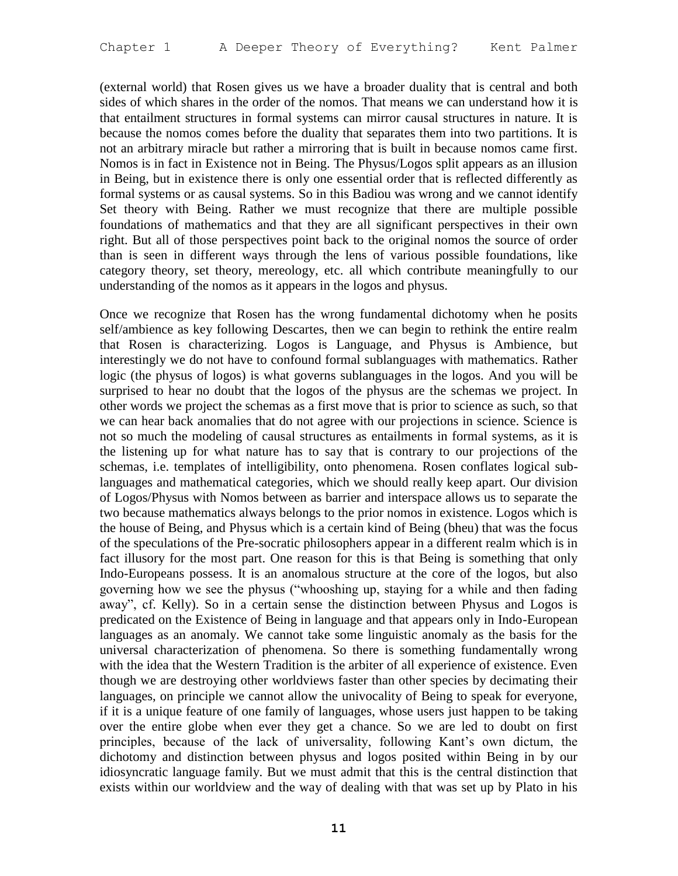(external world) that Rosen gives us we have a broader duality that is central and both sides of which shares in the order of the nomos. That means we can understand how it is that entailment structures in formal systems can mirror causal structures in nature. It is because the nomos comes before the duality that separates them into two partitions. It is not an arbitrary miracle but rather a mirroring that is built in because nomos came first. Nomos is in fact in Existence not in Being. The Physus/Logos split appears as an illusion in Being, but in existence there is only one essential order that is reflected differently as formal systems or as causal systems. So in this Badiou was wrong and we cannot identify Set theory with Being. Rather we must recognize that there are multiple possible foundations of mathematics and that they are all significant perspectives in their own right. But all of those perspectives point back to the original nomos the source of order than is seen in different ways through the lens of various possible foundations, like category theory, set theory, mereology, etc. all which contribute meaningfully to our understanding of the nomos as it appears in the logos and physus.

Once we recognize that Rosen has the wrong fundamental dichotomy when he posits self/ambience as key following Descartes, then we can begin to rethink the entire realm that Rosen is characterizing. Logos is Language, and Physus is Ambience, but interestingly we do not have to confound formal sublanguages with mathematics. Rather logic (the physus of logos) is what governs sublanguages in the logos. And you will be surprised to hear no doubt that the logos of the physus are the schemas we project. In other words we project the schemas as a first move that is prior to science as such, so that we can hear back anomalies that do not agree with our projections in science. Science is not so much the modeling of causal structures as entailments in formal systems, as it is the listening up for what nature has to say that is contrary to our projections of the schemas, i.e. templates of intelligibility, onto phenomena. Rosen conflates logical sublanguages and mathematical categories, which we should really keep apart. Our division of Logos/Physus with Nomos between as barrier and interspace allows us to separate the two because mathematics always belongs to the prior nomos in existence. Logos which is the house of Being, and Physus which is a certain kind of Being (bheu) that was the focus of the speculations of the Pre-socratic philosophers appear in a different realm which is in fact illusory for the most part. One reason for this is that Being is something that only Indo-Europeans possess. It is an anomalous structure at the core of the logos, but also governing how we see the physus ("whooshing up, staying for a while and then fading away", cf. Kelly). So in a certain sense the distinction between Physus and Logos is predicated on the Existence of Being in language and that appears only in Indo-European languages as an anomaly. We cannot take some linguistic anomaly as the basis for the universal characterization of phenomena. So there is something fundamentally wrong with the idea that the Western Tradition is the arbiter of all experience of existence. Even though we are destroying other worldviews faster than other species by decimating their languages, on principle we cannot allow the univocality of Being to speak for everyone, if it is a unique feature of one family of languages, whose users just happen to be taking over the entire globe when ever they get a chance. So we are led to doubt on first principles, because of the lack of universality, following Kant's own dictum, the dichotomy and distinction between physus and logos posited within Being in by our idiosyncratic language family. But we must admit that this is the central distinction that exists within our worldview and the way of dealing with that was set up by Plato in his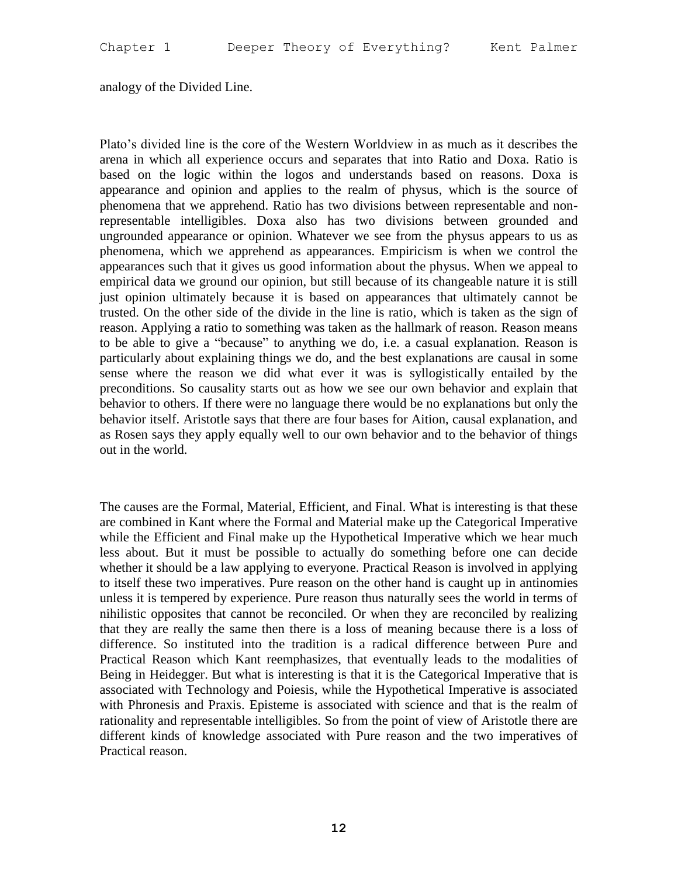analogy of the Divided Line.

Plato's divided line is the core of the Western Worldview in as much as it describes the arena in which all experience occurs and separates that into Ratio and Doxa. Ratio is based on the logic within the logos and understands based on reasons. Doxa is appearance and opinion and applies to the realm of physus, which is the source of phenomena that we apprehend. Ratio has two divisions between representable and nonrepresentable intelligibles. Doxa also has two divisions between grounded and ungrounded appearance or opinion. Whatever we see from the physus appears to us as phenomena, which we apprehend as appearances. Empiricism is when we control the appearances such that it gives us good information about the physus. When we appeal to empirical data we ground our opinion, but still because of its changeable nature it is still just opinion ultimately because it is based on appearances that ultimately cannot be trusted. On the other side of the divide in the line is ratio, which is taken as the sign of reason. Applying a ratio to something was taken as the hallmark of reason. Reason means to be able to give a "because" to anything we do, i.e. a casual explanation. Reason is particularly about explaining things we do, and the best explanations are causal in some sense where the reason we did what ever it was is syllogistically entailed by the preconditions. So causality starts out as how we see our own behavior and explain that behavior to others. If there were no language there would be no explanations but only the behavior itself. Aristotle says that there are four bases for Aition, causal explanation, and as Rosen says they apply equally well to our own behavior and to the behavior of things out in the world.

The causes are the Formal, Material, Efficient, and Final. What is interesting is that these are combined in Kant where the Formal and Material make up the Categorical Imperative while the Efficient and Final make up the Hypothetical Imperative which we hear much less about. But it must be possible to actually do something before one can decide whether it should be a law applying to everyone. Practical Reason is involved in applying to itself these two imperatives. Pure reason on the other hand is caught up in antinomies unless it is tempered by experience. Pure reason thus naturally sees the world in terms of nihilistic opposites that cannot be reconciled. Or when they are reconciled by realizing that they are really the same then there is a loss of meaning because there is a loss of difference. So instituted into the tradition is a radical difference between Pure and Practical Reason which Kant reemphasizes, that eventually leads to the modalities of Being in Heidegger. But what is interesting is that it is the Categorical Imperative that is associated with Technology and Poiesis, while the Hypothetical Imperative is associated with Phronesis and Praxis. Episteme is associated with science and that is the realm of rationality and representable intelligibles. So from the point of view of Aristotle there are different kinds of knowledge associated with Pure reason and the two imperatives of Practical reason.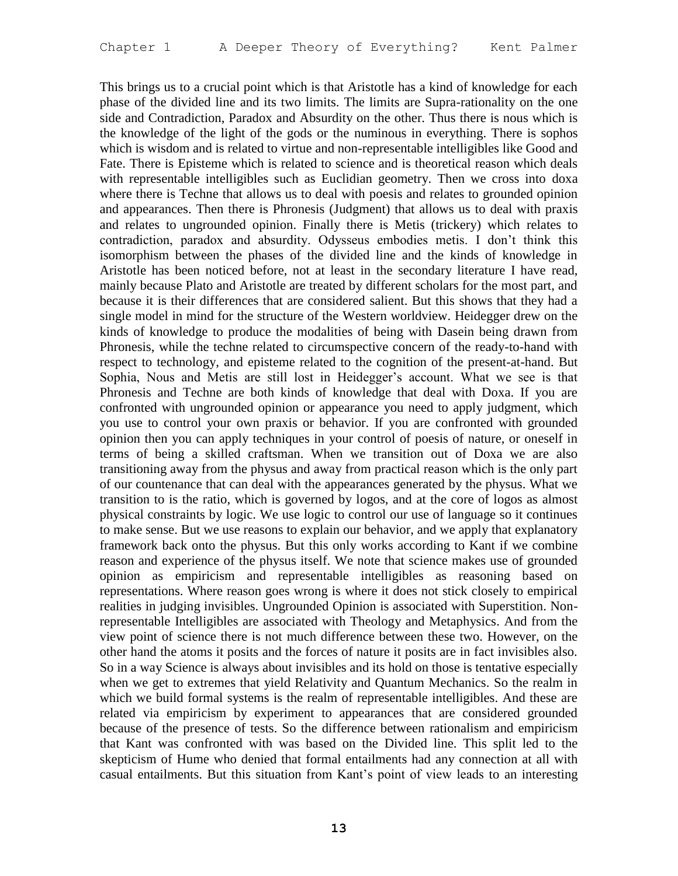This brings us to a crucial point which is that Aristotle has a kind of knowledge for each phase of the divided line and its two limits. The limits are Supra-rationality on the one side and Contradiction, Paradox and Absurdity on the other. Thus there is nous which is the knowledge of the light of the gods or the numinous in everything. There is sophos which is wisdom and is related to virtue and non-representable intelligibles like Good and Fate. There is Episteme which is related to science and is theoretical reason which deals with representable intelligibles such as Euclidian geometry. Then we cross into doxa where there is Techne that allows us to deal with poesis and relates to grounded opinion and appearances. Then there is Phronesis (Judgment) that allows us to deal with praxis and relates to ungrounded opinion. Finally there is Metis (trickery) which relates to contradiction, paradox and absurdity. Odysseus embodies metis. I don't think this isomorphism between the phases of the divided line and the kinds of knowledge in Aristotle has been noticed before, not at least in the secondary literature I have read, mainly because Plato and Aristotle are treated by different scholars for the most part, and because it is their differences that are considered salient. But this shows that they had a single model in mind for the structure of the Western worldview. Heidegger drew on the kinds of knowledge to produce the modalities of being with Dasein being drawn from Phronesis, while the techne related to circumspective concern of the ready-to-hand with respect to technology, and episteme related to the cognition of the present-at-hand. But Sophia, Nous and Metis are still lost in Heidegger's account. What we see is that Phronesis and Techne are both kinds of knowledge that deal with Doxa. If you are confronted with ungrounded opinion or appearance you need to apply judgment, which you use to control your own praxis or behavior. If you are confronted with grounded opinion then you can apply techniques in your control of poesis of nature, or oneself in terms of being a skilled craftsman. When we transition out of Doxa we are also transitioning away from the physus and away from practical reason which is the only part of our countenance that can deal with the appearances generated by the physus. What we transition to is the ratio, which is governed by logos, and at the core of logos as almost physical constraints by logic. We use logic to control our use of language so it continues to make sense. But we use reasons to explain our behavior, and we apply that explanatory framework back onto the physus. But this only works according to Kant if we combine reason and experience of the physus itself. We note that science makes use of grounded opinion as empiricism and representable intelligibles as reasoning based on representations. Where reason goes wrong is where it does not stick closely to empirical realities in judging invisibles. Ungrounded Opinion is associated with Superstition. Nonrepresentable Intelligibles are associated with Theology and Metaphysics. And from the view point of science there is not much difference between these two. However, on the other hand the atoms it posits and the forces of nature it posits are in fact invisibles also. So in a way Science is always about invisibles and its hold on those is tentative especially when we get to extremes that yield Relativity and Quantum Mechanics. So the realm in which we build formal systems is the realm of representable intelligibles. And these are related via empiricism by experiment to appearances that are considered grounded because of the presence of tests. So the difference between rationalism and empiricism that Kant was confronted with was based on the Divided line. This split led to the skepticism of Hume who denied that formal entailments had any connection at all with casual entailments. But this situation from Kant's point of view leads to an interesting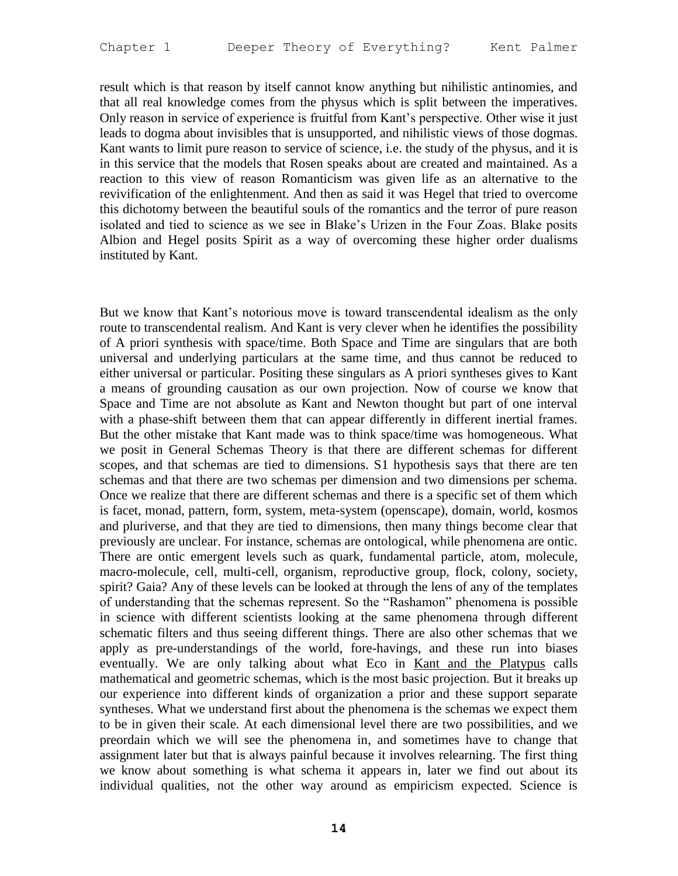result which is that reason by itself cannot know anything but nihilistic antinomies, and that all real knowledge comes from the physus which is split between the imperatives. Only reason in service of experience is fruitful from Kant's perspective. Other wise it just leads to dogma about invisibles that is unsupported, and nihilistic views of those dogmas. Kant wants to limit pure reason to service of science, i.e. the study of the physus, and it is in this service that the models that Rosen speaks about are created and maintained. As a reaction to this view of reason Romanticism was given life as an alternative to the revivification of the enlightenment. And then as said it was Hegel that tried to overcome this dichotomy between the beautiful souls of the romantics and the terror of pure reason isolated and tied to science as we see in Blake's Urizen in the Four Zoas. Blake posits Albion and Hegel posits Spirit as a way of overcoming these higher order dualisms instituted by Kant.

But we know that Kant's notorious move is toward transcendental idealism as the only route to transcendental realism. And Kant is very clever when he identifies the possibility of A priori synthesis with space/time. Both Space and Time are singulars that are both universal and underlying particulars at the same time, and thus cannot be reduced to either universal or particular. Positing these singulars as A priori syntheses gives to Kant a means of grounding causation as our own projection. Now of course we know that Space and Time are not absolute as Kant and Newton thought but part of one interval with a phase-shift between them that can appear differently in different inertial frames. But the other mistake that Kant made was to think space/time was homogeneous. What we posit in General Schemas Theory is that there are different schemas for different scopes, and that schemas are tied to dimensions. S1 hypothesis says that there are ten schemas and that there are two schemas per dimension and two dimensions per schema. Once we realize that there are different schemas and there is a specific set of them which is facet, monad, pattern, form, system, meta-system (openscape), domain, world, kosmos and pluriverse, and that they are tied to dimensions, then many things become clear that previously are unclear. For instance, schemas are ontological, while phenomena are ontic. There are ontic emergent levels such as quark, fundamental particle, atom, molecule, macro-molecule, cell, multi-cell, organism, reproductive group, flock, colony, society, spirit? Gaia? Any of these levels can be looked at through the lens of any of the templates of understanding that the schemas represent. So the "Rashamon" phenomena is possible in science with different scientists looking at the same phenomena through different schematic filters and thus seeing different things. There are also other schemas that we apply as pre-understandings of the world, fore-havings, and these run into biases eventually. We are only talking about what Eco in Kant and the Platypus calls mathematical and geometric schemas, which is the most basic projection. But it breaks up our experience into different kinds of organization a prior and these support separate syntheses. What we understand first about the phenomena is the schemas we expect them to be in given their scale. At each dimensional level there are two possibilities, and we preordain which we will see the phenomena in, and sometimes have to change that assignment later but that is always painful because it involves relearning. The first thing we know about something is what schema it appears in, later we find out about its individual qualities, not the other way around as empiricism expected. Science is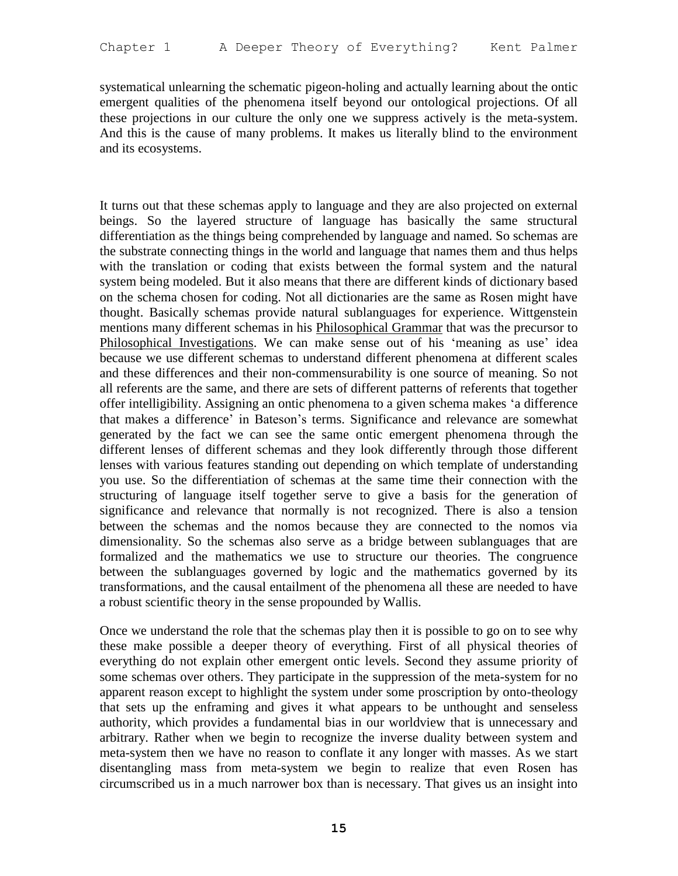systematical unlearning the schematic pigeon-holing and actually learning about the ontic emergent qualities of the phenomena itself beyond our ontological projections. Of all these projections in our culture the only one we suppress actively is the meta-system. And this is the cause of many problems. It makes us literally blind to the environment and its ecosystems.

It turns out that these schemas apply to language and they are also projected on external beings. So the layered structure of language has basically the same structural differentiation as the things being comprehended by language and named. So schemas are the substrate connecting things in the world and language that names them and thus helps with the translation or coding that exists between the formal system and the natural system being modeled. But it also means that there are different kinds of dictionary based on the schema chosen for coding. Not all dictionaries are the same as Rosen might have thought. Basically schemas provide natural sublanguages for experience. Wittgenstein mentions many different schemas in his Philosophical Grammar that was the precursor to Philosophical Investigations. We can make sense out of his 'meaning as use' idea because we use different schemas to understand different phenomena at different scales and these differences and their non-commensurability is one source of meaning. So not all referents are the same, and there are sets of different patterns of referents that together offer intelligibility. Assigning an ontic phenomena to a given schema makes 'a difference that makes a difference' in Bateson's terms. Significance and relevance are somewhat generated by the fact we can see the same ontic emergent phenomena through the different lenses of different schemas and they look differently through those different lenses with various features standing out depending on which template of understanding you use. So the differentiation of schemas at the same time their connection with the structuring of language itself together serve to give a basis for the generation of significance and relevance that normally is not recognized. There is also a tension between the schemas and the nomos because they are connected to the nomos via dimensionality. So the schemas also serve as a bridge between sublanguages that are formalized and the mathematics we use to structure our theories. The congruence between the sublanguages governed by logic and the mathematics governed by its transformations, and the causal entailment of the phenomena all these are needed to have a robust scientific theory in the sense propounded by Wallis.

Once we understand the role that the schemas play then it is possible to go on to see why these make possible a deeper theory of everything. First of all physical theories of everything do not explain other emergent ontic levels. Second they assume priority of some schemas over others. They participate in the suppression of the meta-system for no apparent reason except to highlight the system under some proscription by onto-theology that sets up the enframing and gives it what appears to be unthought and senseless authority, which provides a fundamental bias in our worldview that is unnecessary and arbitrary. Rather when we begin to recognize the inverse duality between system and meta-system then we have no reason to conflate it any longer with masses. As we start disentangling mass from meta-system we begin to realize that even Rosen has circumscribed us in a much narrower box than is necessary. That gives us an insight into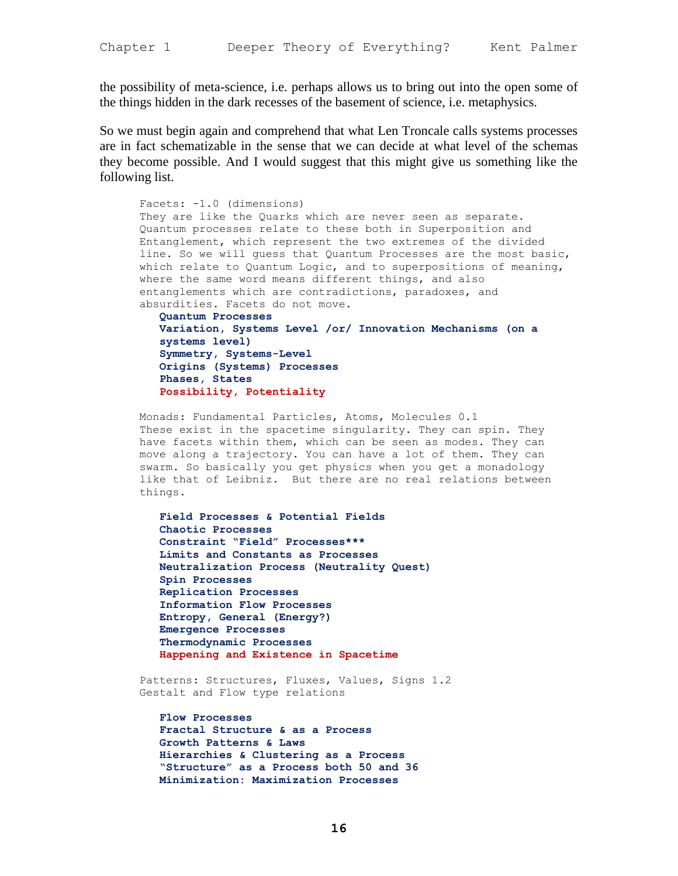the possibility of meta-science, i.e. perhaps allows us to bring out into the open some of the things hidden in the dark recesses of the basement of science, i.e. metaphysics.

So we must begin again and comprehend that what Len Troncale calls systems processes are in fact schematizable in the sense that we can decide at what level of the schemas they become possible. And I would suggest that this might give us something like the following list.

```
Facets: -1.0 (dimensions)
They are like the Quarks which are never seen as separate. 
Quantum processes relate to these both in Superposition and 
Entanglement, which represent the two extremes of the divided 
line. So we will guess that Quantum Processes are the most basic, 
which relate to Quantum Logic, and to superpositions of meaning, 
where the same word means different things, and also 
entanglements which are contradictions, paradoxes, and 
absurdities. Facets do not move.
   Quantum Processes
   Variation, Systems Level /or/ Innovation Mechanisms (on a 
   systems level)
   Symmetry, Systems-Level
   Origins (Systems) Processes
   Phases, States
   Possibility, Potentiality
```
Monads: Fundamental Particles, Atoms, Molecules 0.1 These exist in the spacetime singularity. They can spin. They have facets within them, which can be seen as modes. They can move along a trajectory. You can have a lot of them. They can swarm. So basically you get physics when you get a monadology like that of Leibniz. But there are no real relations between things.

**Field Processes & Potential Fields Chaotic Processes Constraint "Field" Processes\*\*\* Limits and Constants as Processes Neutralization Process (Neutrality Quest) Spin Processes Replication Processes Information Flow Processes Entropy, General (Energy?) Emergence Processes Thermodynamic Processes Happening and Existence in Spacetime**

Patterns: Structures, Fluxes, Values, Signs 1.2 Gestalt and Flow type relations

**Flow Processes Fractal Structure & as a Process Growth Patterns & Laws Hierarchies & Clustering as a Process "Structure" as a Process both 50 and 36 Minimization: Maximization Processes**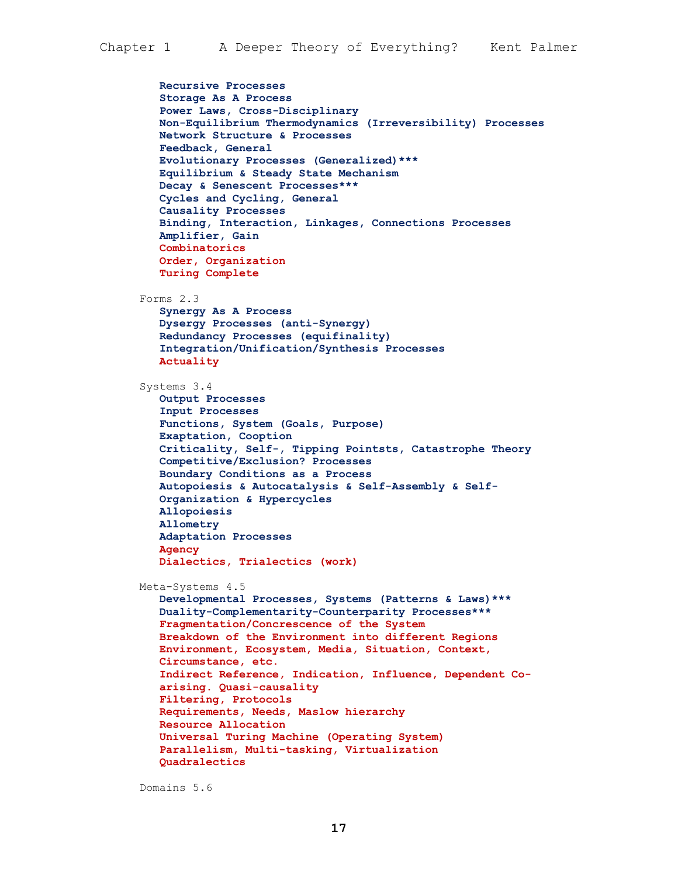```
Recursive Processes
   Storage As A Process
   Power Laws, Cross-Disciplinary
   Non-Equilibrium Thermodynamics (Irreversibility) Processes
   Network Structure & Processes
   Feedback, General
   Evolutionary Processes (Generalized)***
   Equilibrium & Steady State Mechanism
   Decay & Senescent Processes***
   Cycles and Cycling, General
   Causality Processes
   Binding, Interaction, Linkages, Connections Processes
   Amplifier, Gain
   Combinatorics
   Order, Organization
   Turing Complete
Forms 2.3
   Synergy As A Process
   Dysergy Processes (anti-Synergy)
   Redundancy Processes (equifinality)
   Integration/Unification/Synthesis Processes
   Actuality
Systems 3.4
   Output Processes
   Input Processes
   Functions, System (Goals, Purpose)
   Exaptation, Cooption 
   Criticality, Self-, Tipping Pointsts, Catastrophe Theory
   Competitive/Exclusion? Processes
   Boundary Conditions as a Process
   Autopoiesis & Autocatalysis & Self-Assembly & Self-
   Organization & Hypercycles
   Allopoiesis
   Allometry
   Adaptation Processes
   Agency
   Dialectics, Trialectics (work)
Meta-Systems 4.5
   Developmental Processes, Systems (Patterns & Laws)***
   Duality-Complementarity-Counterparity Processes***
   Fragmentation/Concrescence of the System
   Breakdown of the Environment into different Regions
   Environment, Ecosystem, Media, Situation, Context, 
   Circumstance, etc.
   Indirect Reference, Indication, Influence, Dependent Co-
   arising. Quasi-causality
   Filtering, Protocols
   Requirements, Needs, Maslow hierarchy
   Resource Allocation
   Universal Turing Machine (Operating System)
   Parallelism, Multi-tasking, Virtualization
   Quadralectics
```
Domains 5.6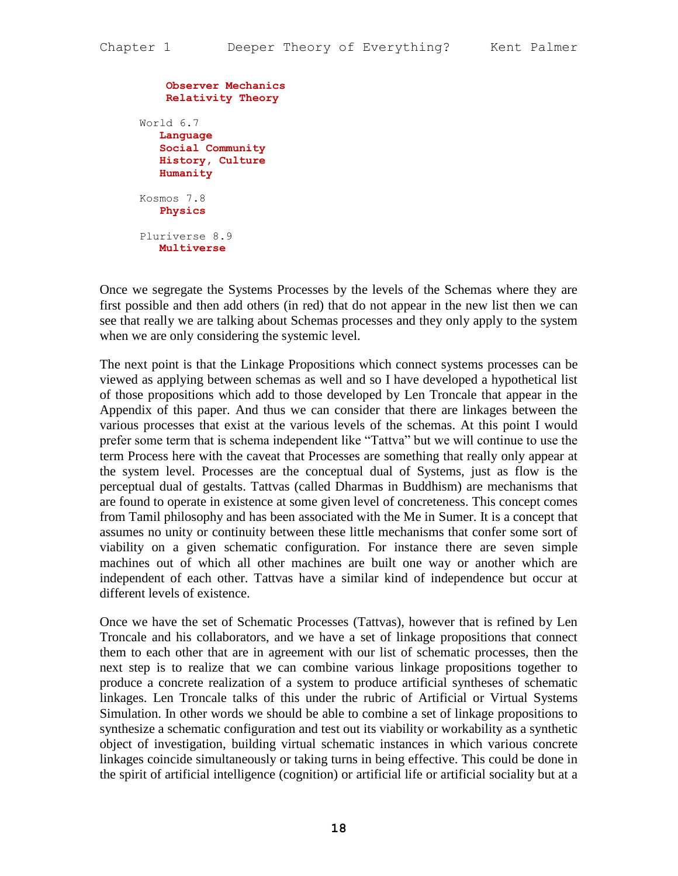```
Observer Mechanics
    Relativity Theory
World 6.7
   Language
   Social Community
   History, Culture
   Humanity
Kosmos 7.8
   Physics
Pluriverse 8.9
   Multiverse
```
Once we segregate the Systems Processes by the levels of the Schemas where they are first possible and then add others (in red) that do not appear in the new list then we can see that really we are talking about Schemas processes and they only apply to the system when we are only considering the systemic level.

The next point is that the Linkage Propositions which connect systems processes can be viewed as applying between schemas as well and so I have developed a hypothetical list of those propositions which add to those developed by Len Troncale that appear in the Appendix of this paper. And thus we can consider that there are linkages between the various processes that exist at the various levels of the schemas. At this point I would prefer some term that is schema independent like "Tattva" but we will continue to use the term Process here with the caveat that Processes are something that really only appear at the system level. Processes are the conceptual dual of Systems, just as flow is the perceptual dual of gestalts. Tattvas (called Dharmas in Buddhism) are mechanisms that are found to operate in existence at some given level of concreteness. This concept comes from Tamil philosophy and has been associated with the Me in Sumer. It is a concept that assumes no unity or continuity between these little mechanisms that confer some sort of viability on a given schematic configuration. For instance there are seven simple machines out of which all other machines are built one way or another which are independent of each other. Tattvas have a similar kind of independence but occur at different levels of existence.

Once we have the set of Schematic Processes (Tattvas), however that is refined by Len Troncale and his collaborators, and we have a set of linkage propositions that connect them to each other that are in agreement with our list of schematic processes, then the next step is to realize that we can combine various linkage propositions together to produce a concrete realization of a system to produce artificial syntheses of schematic linkages. Len Troncale talks of this under the rubric of Artificial or Virtual Systems Simulation. In other words we should be able to combine a set of linkage propositions to synthesize a schematic configuration and test out its viability or workability as a synthetic object of investigation, building virtual schematic instances in which various concrete linkages coincide simultaneously or taking turns in being effective. This could be done in the spirit of artificial intelligence (cognition) or artificial life or artificial sociality but at a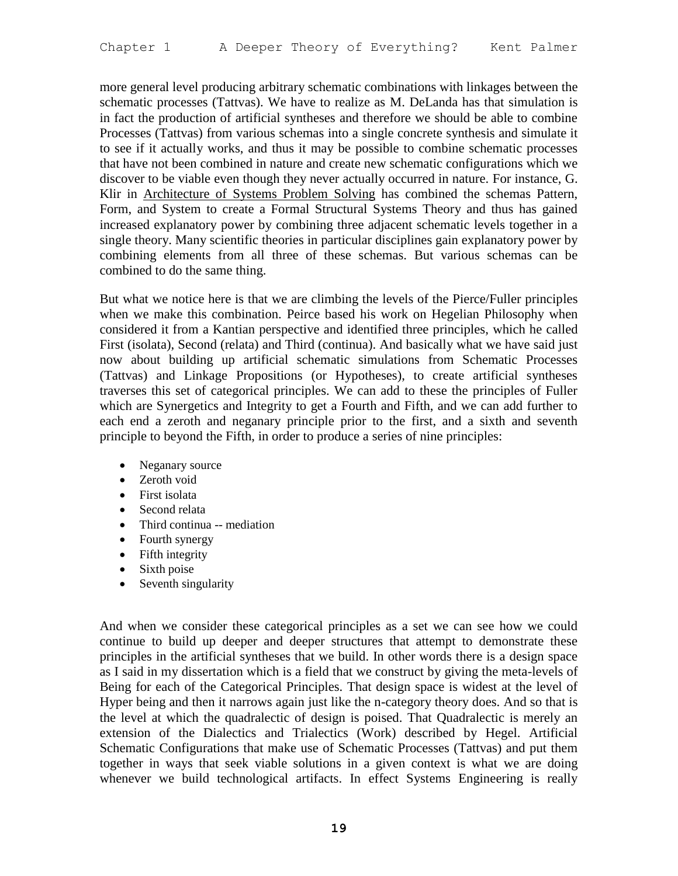more general level producing arbitrary schematic combinations with linkages between the schematic processes (Tattvas). We have to realize as M. DeLanda has that simulation is in fact the production of artificial syntheses and therefore we should be able to combine Processes (Tattvas) from various schemas into a single concrete synthesis and simulate it to see if it actually works, and thus it may be possible to combine schematic processes that have not been combined in nature and create new schematic configurations which we discover to be viable even though they never actually occurred in nature. For instance, G. Klir in Architecture of Systems Problem Solving has combined the schemas Pattern, Form, and System to create a Formal Structural Systems Theory and thus has gained increased explanatory power by combining three adjacent schematic levels together in a single theory. Many scientific theories in particular disciplines gain explanatory power by combining elements from all three of these schemas. But various schemas can be combined to do the same thing.

But what we notice here is that we are climbing the levels of the Pierce/Fuller principles when we make this combination. Peirce based his work on Hegelian Philosophy when considered it from a Kantian perspective and identified three principles, which he called First (isolata), Second (relata) and Third (continua). And basically what we have said just now about building up artificial schematic simulations from Schematic Processes (Tattvas) and Linkage Propositions (or Hypotheses), to create artificial syntheses traverses this set of categorical principles. We can add to these the principles of Fuller which are Synergetics and Integrity to get a Fourth and Fifth, and we can add further to each end a zeroth and neganary principle prior to the first, and a sixth and seventh principle to beyond the Fifth, in order to produce a series of nine principles:

- Neganary source
- Zeroth void
- First isolata
- Second relata
- Third continua -- mediation
- Fourth synergy
- Fifth integrity
- Sixth poise
- Seventh singularity

And when we consider these categorical principles as a set we can see how we could continue to build up deeper and deeper structures that attempt to demonstrate these principles in the artificial syntheses that we build. In other words there is a design space as I said in my dissertation which is a field that we construct by giving the meta-levels of Being for each of the Categorical Principles. That design space is widest at the level of Hyper being and then it narrows again just like the n-category theory does. And so that is the level at which the quadralectic of design is poised. That Quadralectic is merely an extension of the Dialectics and Trialectics (Work) described by Hegel. Artificial Schematic Configurations that make use of Schematic Processes (Tattvas) and put them together in ways that seek viable solutions in a given context is what we are doing whenever we build technological artifacts. In effect Systems Engineering is really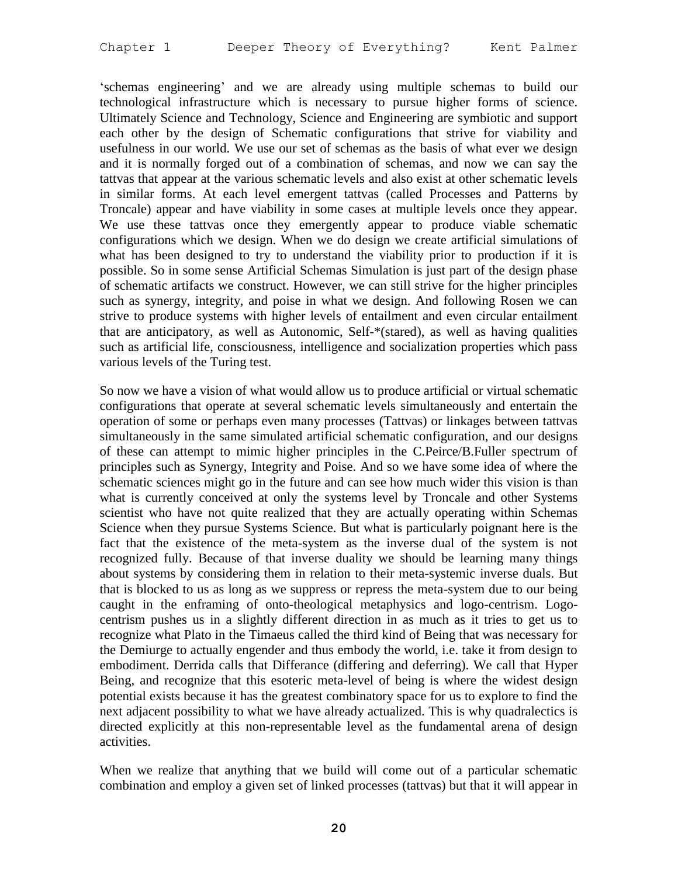'schemas engineering' and we are already using multiple schemas to build our technological infrastructure which is necessary to pursue higher forms of science. Ultimately Science and Technology, Science and Engineering are symbiotic and support each other by the design of Schematic configurations that strive for viability and usefulness in our world. We use our set of schemas as the basis of what ever we design and it is normally forged out of a combination of schemas, and now we can say the tattvas that appear at the various schematic levels and also exist at other schematic levels in similar forms. At each level emergent tattvas (called Processes and Patterns by Troncale) appear and have viability in some cases at multiple levels once they appear. We use these tattvas once they emergently appear to produce viable schematic configurations which we design. When we do design we create artificial simulations of what has been designed to try to understand the viability prior to production if it is possible. So in some sense Artificial Schemas Simulation is just part of the design phase of schematic artifacts we construct. However, we can still strive for the higher principles such as synergy, integrity, and poise in what we design. And following Rosen we can strive to produce systems with higher levels of entailment and even circular entailment that are anticipatory, as well as Autonomic, Self-\*(stared), as well as having qualities such as artificial life, consciousness, intelligence and socialization properties which pass various levels of the Turing test.

So now we have a vision of what would allow us to produce artificial or virtual schematic configurations that operate at several schematic levels simultaneously and entertain the operation of some or perhaps even many processes (Tattvas) or linkages between tattvas simultaneously in the same simulated artificial schematic configuration, and our designs of these can attempt to mimic higher principles in the C.Peirce/B.Fuller spectrum of principles such as Synergy, Integrity and Poise. And so we have some idea of where the schematic sciences might go in the future and can see how much wider this vision is than what is currently conceived at only the systems level by Troncale and other Systems scientist who have not quite realized that they are actually operating within Schemas Science when they pursue Systems Science. But what is particularly poignant here is the fact that the existence of the meta-system as the inverse dual of the system is not recognized fully. Because of that inverse duality we should be learning many things about systems by considering them in relation to their meta-systemic inverse duals. But that is blocked to us as long as we suppress or repress the meta-system due to our being caught in the enframing of onto-theological metaphysics and logo-centrism. Logocentrism pushes us in a slightly different direction in as much as it tries to get us to recognize what Plato in the Timaeus called the third kind of Being that was necessary for the Demiurge to actually engender and thus embody the world, i.e. take it from design to embodiment. Derrida calls that Differance (differing and deferring). We call that Hyper Being, and recognize that this esoteric meta-level of being is where the widest design potential exists because it has the greatest combinatory space for us to explore to find the next adjacent possibility to what we have already actualized. This is why quadralectics is directed explicitly at this non-representable level as the fundamental arena of design activities.

When we realize that anything that we build will come out of a particular schematic combination and employ a given set of linked processes (tattvas) but that it will appear in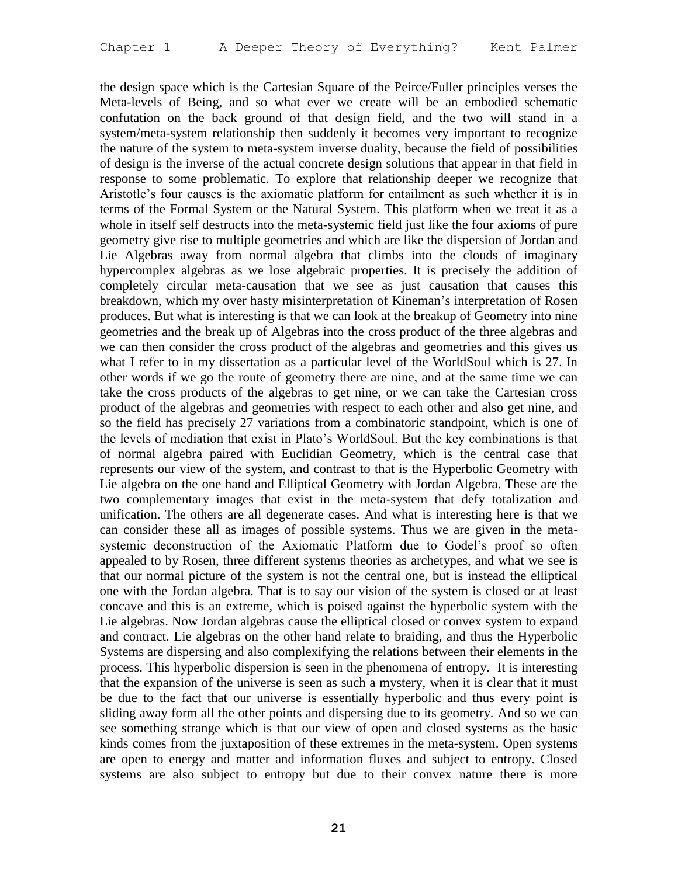the design space which is the Cartesian Square of the Peirce/Fuller principles verses the Meta-levels of Being, and so what ever we create will be an embodied schematic confutation on the back ground of that design field, and the two will stand in a system/meta-system relationship then suddenly it becomes very important to recognize the nature of the system to meta-system inverse duality, because the field of possibilities of design is the inverse of the actual concrete design solutions that appear in that field in response to some problematic. To explore that relationship deeper we recognize that Aristotle's four causes is the axiomatic platform for entailment as such whether it is in terms of the Formal System or the Natural System. This platform when we treat it as a whole in itself self destructs into the meta-systemic field just like the four axioms of pure geometry give rise to multiple geometries and which are like the dispersion of Jordan and Lie Algebras away from normal algebra that climbs into the clouds of imaginary hypercomplex algebras as we lose algebraic properties. It is precisely the addition of completely circular meta-causation that we see as just causation that causes this breakdown, which my over hasty misinterpretation of Kineman's interpretation of Rosen produces. But what is interesting is that we can look at the breakup of Geometry into nine geometries and the break up of Algebras into the cross product of the three algebras and we can then consider the cross product of the algebras and geometries and this gives us what I refer to in my dissertation as a particular level of the WorldSoul which is 27. In other words if we go the route of geometry there are nine, and at the same time we can take the cross products of the algebras to get nine, or we can take the Cartesian cross product of the algebras and geometries with respect to each other and also get nine, and so the field has precisely 27 variations from a combinatoric standpoint, which is one of the levels of mediation that exist in Plato's WorldSoul. But the key combinations is that of normal algebra paired with Euclidian Geometry, which is the central case that represents our view of the system, and contrast to that is the Hyperbolic Geometry with Lie algebra on the one hand and Elliptical Geometry with Jordan Algebra. These are the two complementary images that exist in the meta-system that defy totalization and unification. The others are all degenerate cases. And what is interesting here is that we can consider these all as images of possible systems. Thus we are given in the metasystemic deconstruction of the Axiomatic Platform due to Godel's proof so often appealed to by Rosen, three different systems theories as archetypes, and what we see is that our normal picture of the system is not the central one, but is instead the elliptical one with the Jordan algebra. That is to say our vision of the system is closed or at least concave and this is an extreme, which is poised against the hyperbolic system with the Lie algebras. Now Jordan algebras cause the elliptical closed or convex system to expand and contract. Lie algebras on the other hand relate to braiding, and thus the Hyperbolic Systems are dispersing and also complexifying the relations between their elements in the process. This hyperbolic dispersion is seen in the phenomena of entropy. It is interesting that the expansion of the universe is seen as such a mystery, when it is clear that it must be due to the fact that our universe is essentially hyperbolic and thus every point is sliding away form all the other points and dispersing due to its geometry. And so we can see something strange which is that our view of open and closed systems as the basic kinds comes from the juxtaposition of these extremes in the meta-system. Open systems are open to energy and matter and information fluxes and subject to entropy. Closed systems are also subject to entropy but due to their convex nature there is more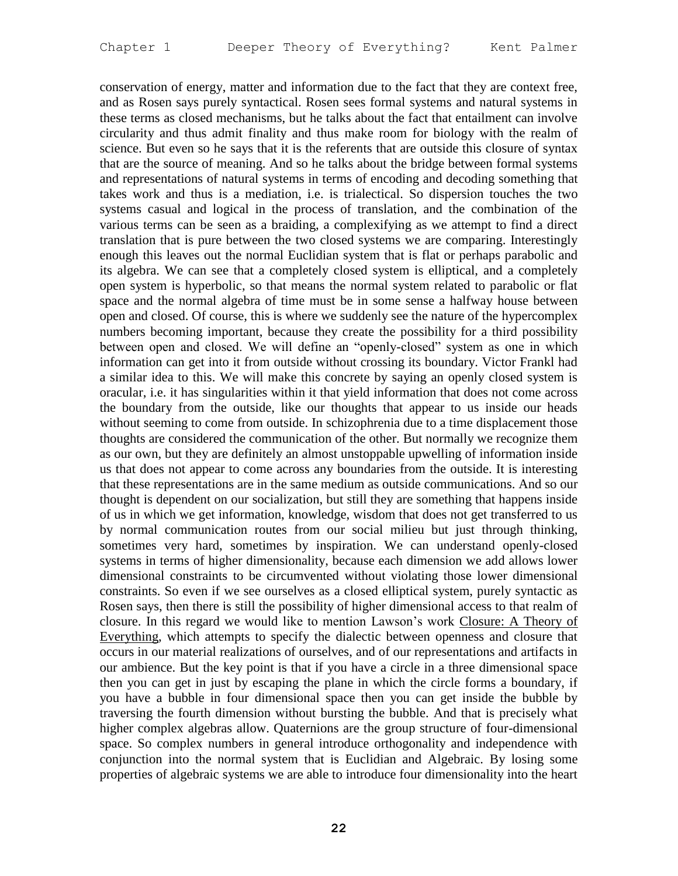conservation of energy, matter and information due to the fact that they are context free, and as Rosen says purely syntactical. Rosen sees formal systems and natural systems in these terms as closed mechanisms, but he talks about the fact that entailment can involve circularity and thus admit finality and thus make room for biology with the realm of science. But even so he says that it is the referents that are outside this closure of syntax that are the source of meaning. And so he talks about the bridge between formal systems and representations of natural systems in terms of encoding and decoding something that takes work and thus is a mediation, i.e. is trialectical. So dispersion touches the two systems casual and logical in the process of translation, and the combination of the various terms can be seen as a braiding, a complexifying as we attempt to find a direct translation that is pure between the two closed systems we are comparing. Interestingly enough this leaves out the normal Euclidian system that is flat or perhaps parabolic and its algebra. We can see that a completely closed system is elliptical, and a completely open system is hyperbolic, so that means the normal system related to parabolic or flat space and the normal algebra of time must be in some sense a halfway house between open and closed. Of course, this is where we suddenly see the nature of the hypercomplex numbers becoming important, because they create the possibility for a third possibility between open and closed. We will define an "openly-closed" system as one in which information can get into it from outside without crossing its boundary. Victor Frankl had a similar idea to this. We will make this concrete by saying an openly closed system is oracular, i.e. it has singularities within it that yield information that does not come across the boundary from the outside, like our thoughts that appear to us inside our heads without seeming to come from outside. In schizophrenia due to a time displacement those thoughts are considered the communication of the other. But normally we recognize them as our own, but they are definitely an almost unstoppable upwelling of information inside us that does not appear to come across any boundaries from the outside. It is interesting that these representations are in the same medium as outside communications. And so our thought is dependent on our socialization, but still they are something that happens inside of us in which we get information, knowledge, wisdom that does not get transferred to us by normal communication routes from our social milieu but just through thinking, sometimes very hard, sometimes by inspiration. We can understand openly-closed systems in terms of higher dimensionality, because each dimension we add allows lower dimensional constraints to be circumvented without violating those lower dimensional constraints. So even if we see ourselves as a closed elliptical system, purely syntactic as Rosen says, then there is still the possibility of higher dimensional access to that realm of closure. In this regard we would like to mention Lawson's work Closure: A Theory of Everything, which attempts to specify the dialectic between openness and closure that occurs in our material realizations of ourselves, and of our representations and artifacts in our ambience. But the key point is that if you have a circle in a three dimensional space then you can get in just by escaping the plane in which the circle forms a boundary, if you have a bubble in four dimensional space then you can get inside the bubble by traversing the fourth dimension without bursting the bubble. And that is precisely what higher complex algebras allow. Quaternions are the group structure of four-dimensional space. So complex numbers in general introduce orthogonality and independence with conjunction into the normal system that is Euclidian and Algebraic. By losing some properties of algebraic systems we are able to introduce four dimensionality into the heart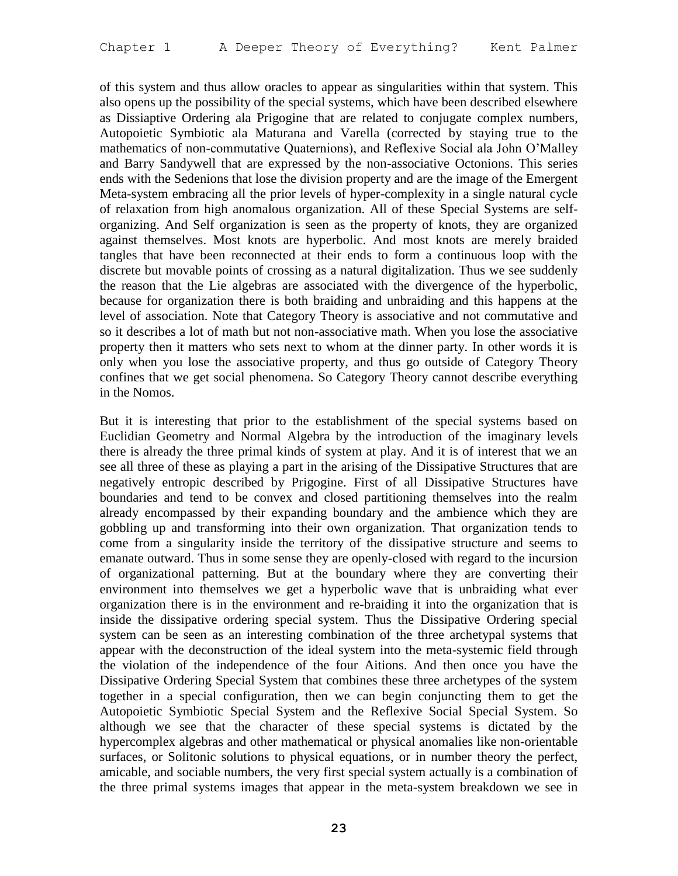of this system and thus allow oracles to appear as singularities within that system. This also opens up the possibility of the special systems, which have been described elsewhere as Dissiaptive Ordering ala Prigogine that are related to conjugate complex numbers, Autopoietic Symbiotic ala Maturana and Varella (corrected by staying true to the mathematics of non-commutative Quaternions), and Reflexive Social ala John O'Malley and Barry Sandywell that are expressed by the non-associative Octonions. This series ends with the Sedenions that lose the division property and are the image of the Emergent Meta-system embracing all the prior levels of hyper-complexity in a single natural cycle of relaxation from high anomalous organization. All of these Special Systems are selforganizing. And Self organization is seen as the property of knots, they are organized against themselves. Most knots are hyperbolic. And most knots are merely braided tangles that have been reconnected at their ends to form a continuous loop with the discrete but movable points of crossing as a natural digitalization. Thus we see suddenly the reason that the Lie algebras are associated with the divergence of the hyperbolic, because for organization there is both braiding and unbraiding and this happens at the level of association. Note that Category Theory is associative and not commutative and so it describes a lot of math but not non-associative math. When you lose the associative property then it matters who sets next to whom at the dinner party. In other words it is only when you lose the associative property, and thus go outside of Category Theory confines that we get social phenomena. So Category Theory cannot describe everything in the Nomos.

But it is interesting that prior to the establishment of the special systems based on Euclidian Geometry and Normal Algebra by the introduction of the imaginary levels there is already the three primal kinds of system at play. And it is of interest that we an see all three of these as playing a part in the arising of the Dissipative Structures that are negatively entropic described by Prigogine. First of all Dissipative Structures have boundaries and tend to be convex and closed partitioning themselves into the realm already encompassed by their expanding boundary and the ambience which they are gobbling up and transforming into their own organization. That organization tends to come from a singularity inside the territory of the dissipative structure and seems to emanate outward. Thus in some sense they are openly-closed with regard to the incursion of organizational patterning. But at the boundary where they are converting their environment into themselves we get a hyperbolic wave that is unbraiding what ever organization there is in the environment and re-braiding it into the organization that is inside the dissipative ordering special system. Thus the Dissipative Ordering special system can be seen as an interesting combination of the three archetypal systems that appear with the deconstruction of the ideal system into the meta-systemic field through the violation of the independence of the four Aitions. And then once you have the Dissipative Ordering Special System that combines these three archetypes of the system together in a special configuration, then we can begin conjuncting them to get the Autopoietic Symbiotic Special System and the Reflexive Social Special System. So although we see that the character of these special systems is dictated by the hypercomplex algebras and other mathematical or physical anomalies like non-orientable surfaces, or Solitonic solutions to physical equations, or in number theory the perfect, amicable, and sociable numbers, the very first special system actually is a combination of the three primal systems images that appear in the meta-system breakdown we see in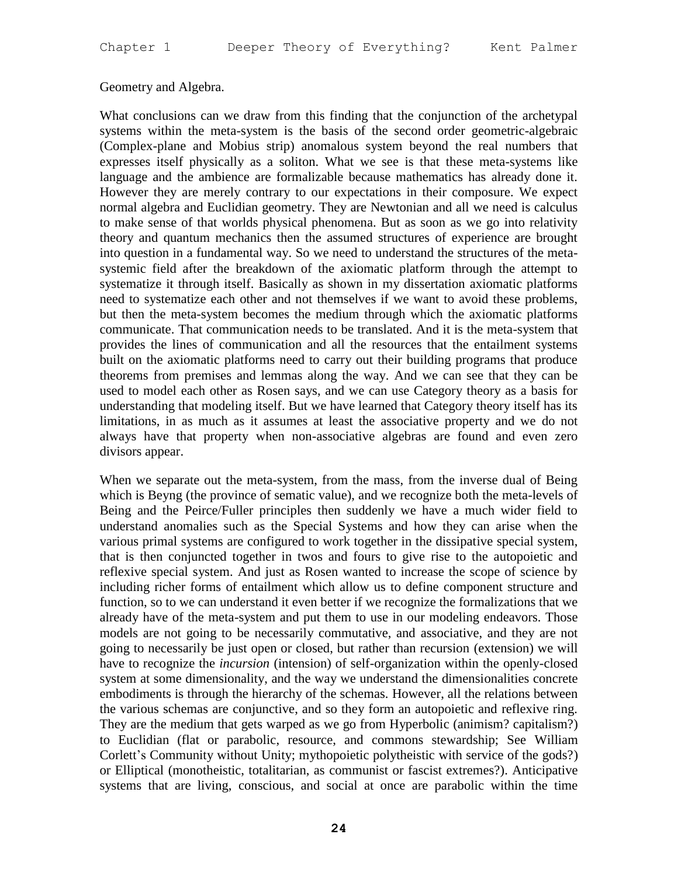## Geometry and Algebra.

What conclusions can we draw from this finding that the conjunction of the archetypal systems within the meta-system is the basis of the second order geometric-algebraic (Complex-plane and Mobius strip) anomalous system beyond the real numbers that expresses itself physically as a soliton. What we see is that these meta-systems like language and the ambience are formalizable because mathematics has already done it. However they are merely contrary to our expectations in their composure. We expect normal algebra and Euclidian geometry. They are Newtonian and all we need is calculus to make sense of that worlds physical phenomena. But as soon as we go into relativity theory and quantum mechanics then the assumed structures of experience are brought into question in a fundamental way. So we need to understand the structures of the metasystemic field after the breakdown of the axiomatic platform through the attempt to systematize it through itself. Basically as shown in my dissertation axiomatic platforms need to systematize each other and not themselves if we want to avoid these problems, but then the meta-system becomes the medium through which the axiomatic platforms communicate. That communication needs to be translated. And it is the meta-system that provides the lines of communication and all the resources that the entailment systems built on the axiomatic platforms need to carry out their building programs that produce theorems from premises and lemmas along the way. And we can see that they can be used to model each other as Rosen says, and we can use Category theory as a basis for understanding that modeling itself. But we have learned that Category theory itself has its limitations, in as much as it assumes at least the associative property and we do not always have that property when non-associative algebras are found and even zero divisors appear.

When we separate out the meta-system, from the mass, from the inverse dual of Being which is Beyng (the province of sematic value), and we recognize both the meta-levels of Being and the Peirce/Fuller principles then suddenly we have a much wider field to understand anomalies such as the Special Systems and how they can arise when the various primal systems are configured to work together in the dissipative special system, that is then conjuncted together in twos and fours to give rise to the autopoietic and reflexive special system. And just as Rosen wanted to increase the scope of science by including richer forms of entailment which allow us to define component structure and function, so to we can understand it even better if we recognize the formalizations that we already have of the meta-system and put them to use in our modeling endeavors. Those models are not going to be necessarily commutative, and associative, and they are not going to necessarily be just open or closed, but rather than recursion (extension) we will have to recognize the *incursion* (intension) of self-organization within the openly-closed system at some dimensionality, and the way we understand the dimensionalities concrete embodiments is through the hierarchy of the schemas. However, all the relations between the various schemas are conjunctive, and so they form an autopoietic and reflexive ring. They are the medium that gets warped as we go from Hyperbolic (animism? capitalism?) to Euclidian (flat or parabolic, resource, and commons stewardship; See William Corlett's Community without Unity; mythopoietic polytheistic with service of the gods?) or Elliptical (monotheistic, totalitarian, as communist or fascist extremes?). Anticipative systems that are living, conscious, and social at once are parabolic within the time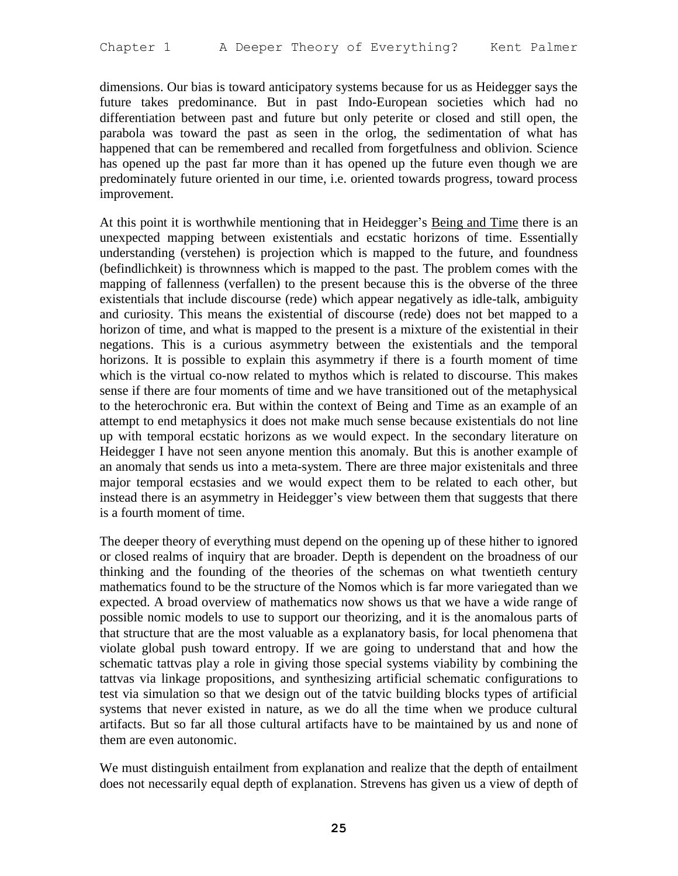dimensions. Our bias is toward anticipatory systems because for us as Heidegger says the future takes predominance. But in past Indo-European societies which had no differentiation between past and future but only peterite or closed and still open, the parabola was toward the past as seen in the orlog, the sedimentation of what has happened that can be remembered and recalled from forgetfulness and oblivion. Science has opened up the past far more than it has opened up the future even though we are predominately future oriented in our time, i.e. oriented towards progress, toward process improvement.

At this point it is worthwhile mentioning that in Heidegger's Being and Time there is an unexpected mapping between existentials and ecstatic horizons of time. Essentially understanding (verstehen) is projection which is mapped to the future, and foundness (befindlichkeit) is thrownness which is mapped to the past. The problem comes with the mapping of fallenness (verfallen) to the present because this is the obverse of the three existentials that include discourse (rede) which appear negatively as idle-talk, ambiguity and curiosity. This means the existential of discourse (rede) does not bet mapped to a horizon of time, and what is mapped to the present is a mixture of the existential in their negations. This is a curious asymmetry between the existentials and the temporal horizons. It is possible to explain this asymmetry if there is a fourth moment of time which is the virtual co-now related to mythos which is related to discourse. This makes sense if there are four moments of time and we have transitioned out of the metaphysical to the heterochronic era. But within the context of Being and Time as an example of an attempt to end metaphysics it does not make much sense because existentials do not line up with temporal ecstatic horizons as we would expect. In the secondary literature on Heidegger I have not seen anyone mention this anomaly. But this is another example of an anomaly that sends us into a meta-system. There are three major existenitals and three major temporal ecstasies and we would expect them to be related to each other, but instead there is an asymmetry in Heidegger's view between them that suggests that there is a fourth moment of time.

The deeper theory of everything must depend on the opening up of these hither to ignored or closed realms of inquiry that are broader. Depth is dependent on the broadness of our thinking and the founding of the theories of the schemas on what twentieth century mathematics found to be the structure of the Nomos which is far more variegated than we expected. A broad overview of mathematics now shows us that we have a wide range of possible nomic models to use to support our theorizing, and it is the anomalous parts of that structure that are the most valuable as a explanatory basis, for local phenomena that violate global push toward entropy. If we are going to understand that and how the schematic tattvas play a role in giving those special systems viability by combining the tattvas via linkage propositions, and synthesizing artificial schematic configurations to test via simulation so that we design out of the tatvic building blocks types of artificial systems that never existed in nature, as we do all the time when we produce cultural artifacts. But so far all those cultural artifacts have to be maintained by us and none of them are even autonomic.

We must distinguish entailment from explanation and realize that the depth of entailment does not necessarily equal depth of explanation. Strevens has given us a view of depth of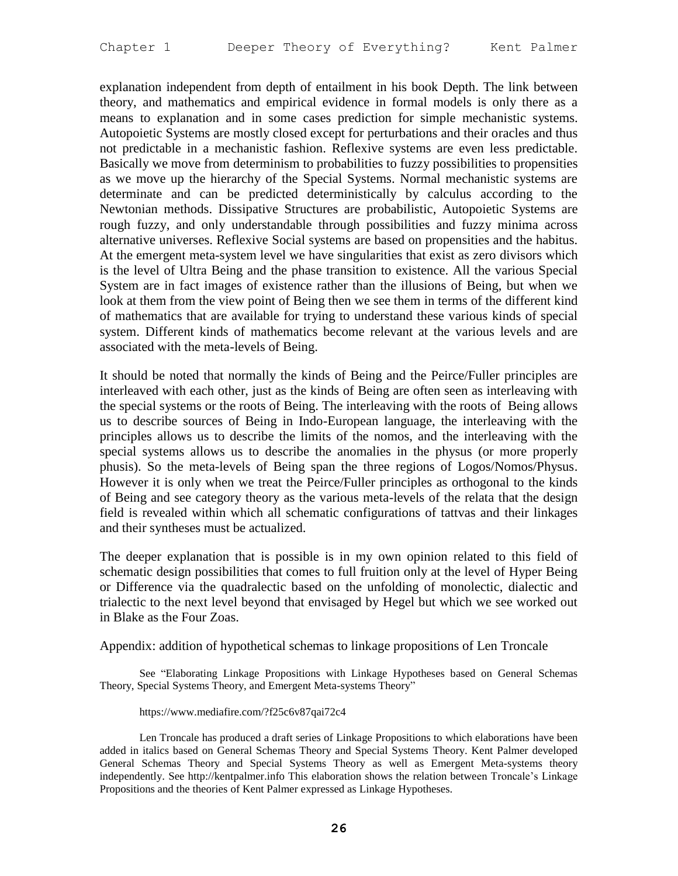explanation independent from depth of entailment in his book Depth. The link between theory, and mathematics and empirical evidence in formal models is only there as a means to explanation and in some cases prediction for simple mechanistic systems. Autopoietic Systems are mostly closed except for perturbations and their oracles and thus not predictable in a mechanistic fashion. Reflexive systems are even less predictable. Basically we move from determinism to probabilities to fuzzy possibilities to propensities as we move up the hierarchy of the Special Systems. Normal mechanistic systems are determinate and can be predicted deterministically by calculus according to the Newtonian methods. Dissipative Structures are probabilistic, Autopoietic Systems are rough fuzzy, and only understandable through possibilities and fuzzy minima across alternative universes. Reflexive Social systems are based on propensities and the habitus. At the emergent meta-system level we have singularities that exist as zero divisors which is the level of Ultra Being and the phase transition to existence. All the various Special System are in fact images of existence rather than the illusions of Being, but when we look at them from the view point of Being then we see them in terms of the different kind of mathematics that are available for trying to understand these various kinds of special system. Different kinds of mathematics become relevant at the various levels and are associated with the meta-levels of Being.

It should be noted that normally the kinds of Being and the Peirce/Fuller principles are interleaved with each other, just as the kinds of Being are often seen as interleaving with the special systems or the roots of Being. The interleaving with the roots of Being allows us to describe sources of Being in Indo-European language, the interleaving with the principles allows us to describe the limits of the nomos, and the interleaving with the special systems allows us to describe the anomalies in the physus (or more properly phusis). So the meta-levels of Being span the three regions of Logos/Nomos/Physus. However it is only when we treat the Peirce/Fuller principles as orthogonal to the kinds of Being and see category theory as the various meta-levels of the relata that the design field is revealed within which all schematic configurations of tattvas and their linkages and their syntheses must be actualized.

The deeper explanation that is possible is in my own opinion related to this field of schematic design possibilities that comes to full fruition only at the level of Hyper Being or Difference via the quadralectic based on the unfolding of monolectic, dialectic and trialectic to the next level beyond that envisaged by Hegel but which we see worked out in Blake as the Four Zoas.

Appendix: addition of hypothetical schemas to linkage propositions of Len Troncale

See "Elaborating Linkage Propositions with Linkage Hypotheses based on General Schemas Theory, Special Systems Theory, and Emergent Meta-systems Theory"

#### https://www.mediafire.com/?f25c6v87qai72c4

Len Troncale has produced a draft series of Linkage Propositions to which elaborations have been added in italics based on General Schemas Theory and Special Systems Theory. Kent Palmer developed General Schemas Theory and Special Systems Theory as well as Emergent Meta-systems theory independently. See http://kentpalmer.info This elaboration shows the relation between Troncale's Linkage Propositions and the theories of Kent Palmer expressed as Linkage Hypotheses.